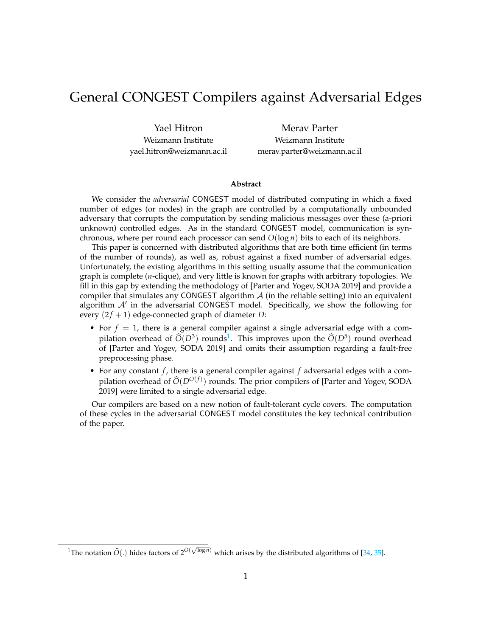# General CONGEST Compilers against Adversarial Edges

Yael Hitron Weizmann Institute yael.hitron@weizmann.ac.il

Merav Parter Weizmann Institute merav.parter@weizmann.ac.il

#### **Abstract**

We consider the *adversarial* CONGEST model of distributed computing in which a fixed number of edges (or nodes) in the graph are controlled by a computationally unbounded adversary that corrupts the computation by sending malicious messages over these (a-priori unknown) controlled edges. As in the standard CONGEST model, communication is synchronous, where per round each processor can send *O*(log *n*) bits to each of its neighbors.

This paper is concerned with distributed algorithms that are both time efficient (in terms of the number of rounds), as well as, robust against a fixed number of adversarial edges. Unfortunately, the existing algorithms in this setting usually assume that the communication graph is complete (*n*-clique), and very little is known for graphs with arbitrary topologies. We fill in this gap by extending the methodology of [Parter and Yogev, SODA 2019] and provide a compiler that simulates any CONGEST algorithm  $A$  (in the reliable setting) into an equivalent algorithm  $A'$  in the adversarial CONGEST model. Specifically, we show the following for every  $(2f + 1)$  edge-connected graph of diameter *D*:

- For  $f = 1$ , there is a general compiler against a single adversarial edge with a compilation overhead of  $\widehat{O}(D^3)$  rounds<sup>[1](#page-0-0)</sup>. This improves upon the  $\widehat{O}(D^5)$  round overhead of [Parter and Yogev, SODA 2019] and omits their assumption regarding a fault-free preprocessing phase.
- For any constant *f* , there is a general compiler against *f* adversarial edges with a compilation overhead of  $\widehat{O}(D^{O(f)})$  rounds. The prior compilers of [Parter and Yogev, SODA 2019] were limited to a single adversarial edge.

Our compilers are based on a new notion of fault-tolerant cycle covers. The computation of these cycles in the adversarial CONGEST model constitutes the key technical contribution of the paper.

<span id="page-0-0"></span><sup>&</sup>lt;sup>1</sup>The notation  $\widehat{O}(.)$  hides factors of  $2^{O(\sqrt{\log n})}$  which arises by the distributed algorithms of [\[34,](#page-29-0) [35\]](#page-29-1).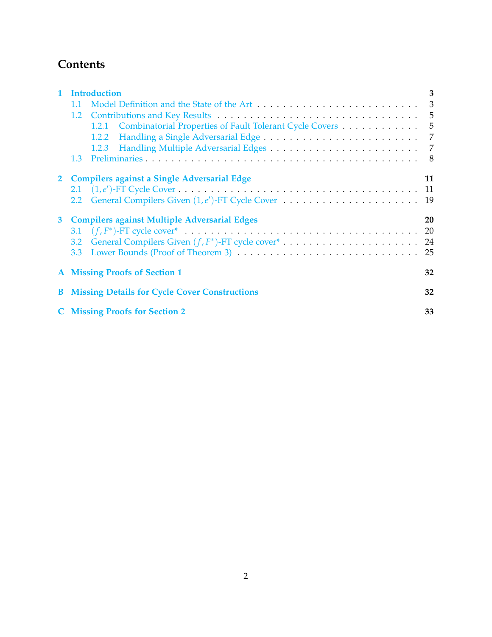# **Contents**

|   | Introduction                                                                                                                    | 3   |
|---|---------------------------------------------------------------------------------------------------------------------------------|-----|
|   | 1.1                                                                                                                             | 3   |
|   | Contributions and Key Results (1997) Contributions and Key Results (1997) Contributions and Key Results (1997)<br>$1.2^{\circ}$ |     |
|   | 1.2.1 Combinatorial Properties of Fault Tolerant Cycle Covers 5                                                                 |     |
|   | 1.2.2                                                                                                                           | 7   |
|   | Handling Multiple Adversarial Edges (Marshall Library Adversarial Edges)<br>1.2.3                                               | 7   |
|   | 1.3                                                                                                                             | -8  |
|   | 2 Compilers against a Single Adversarial Edge                                                                                   | 11  |
|   |                                                                                                                                 |     |
|   | General Compilers Given $(1,e')$ -FT Cycle Cover $\ldots \ldots \ldots \ldots \ldots \ldots$<br>2.2                             | -19 |
| 3 | <b>Compilers against Multiple Adversarial Edges</b>                                                                             | 20  |
|   |                                                                                                                                 | 20  |
|   | $3.2^{\circ}$                                                                                                                   |     |
|   | 3.3 <sub>1</sub>                                                                                                                |     |
|   | <b>A</b> Missing Proofs of Section 1                                                                                            | 32  |
|   | <b>B</b> Missing Details for Cycle Cover Constructions                                                                          | 32  |
|   | <b>C</b> Missing Proofs for Section 2                                                                                           | 33  |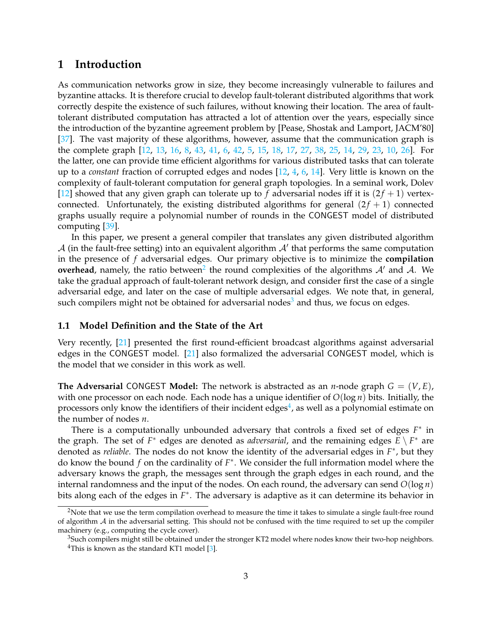### <span id="page-2-0"></span>**1 Introduction**

As communication networks grow in size, they become increasingly vulnerable to failures and byzantine attacks. It is therefore crucial to develop fault-tolerant distributed algorithms that work correctly despite the existence of such failures, without knowing their location. The area of faulttolerant distributed computation has attracted a lot of attention over the years, especially since the introduction of the byzantine agreement problem by [Pease, Shostak and Lamport, JACM'80] [\[37\]](#page-29-2). The vast majority of these algorithms, however, assume that the communication graph is the complete graph [\[12,](#page-27-0) [13,](#page-27-1) [16,](#page-28-0) [8,](#page-27-2) [43,](#page-30-0) [41,](#page-29-3) [6,](#page-27-3) [42,](#page-30-1) [5,](#page-27-4) [15,](#page-28-1) [18,](#page-28-2) [17,](#page-28-3) [27,](#page-28-4) [38,](#page-29-4) [25,](#page-28-5) [14,](#page-28-6) [29,](#page-29-5) [23,](#page-28-7) [10,](#page-27-5) [26\]](#page-28-8). For the latter, one can provide time efficient algorithms for various distributed tasks that can tolerate up to a *constant* fraction of corrupted edges and nodes [\[12,](#page-27-0) [4,](#page-27-6) [6,](#page-27-3) [14\]](#page-28-6). Very little is known on the complexity of fault-tolerant computation for general graph topologies. In a seminal work, Dolev [\[12\]](#page-27-0) showed that any given graph can tolerate up to f adversarial nodes iff it is  $(2f + 1)$  vertexconnected. Unfortunately, the existing distributed algorithms for general  $(2f + 1)$  connected graphs usually require a polynomial number of rounds in the CONGEST model of distributed computing [\[39\]](#page-29-6).

In this paper, we present a general compiler that translates any given distributed algorithm  $A$  (in the fault-free setting) into an equivalent algorithm  $A'$  that performs the same computation in the presence of *f* adversarial edges. Our primary objective is to minimize the **compilation overhead**, namely, the ratio between<sup>[2](#page-2-2)</sup> the round complexities of the algorithms  $A'$  and  $A$ . We take the gradual approach of fault-tolerant network design, and consider first the case of a single adversarial edge, and later on the case of multiple adversarial edges. We note that, in general, such compilers might not be obtained for adversarial nodes<sup>[3](#page-2-3)</sup> and thus, we focus on edges.

### <span id="page-2-1"></span>**1.1 Model Definition and the State of the Art**

Very recently, [\[21\]](#page-28-9) presented the first round-efficient broadcast algorithms against adversarial edges in the CONGEST model. [\[21\]](#page-28-9) also formalized the adversarial CONGEST model, which is the model that we consider in this work as well.

**The Adversarial** CONGEST **Model:** The network is abstracted as an *n*-node graph  $G = (V, E)$ , with one processor on each node. Each node has a unique identifier of *O*(log *n*) bits. Initially, the processors only know the identifiers of their incident edges<sup>[4](#page-2-4)</sup>, as well as a polynomial estimate on the number of nodes *n*.

There is a computationally unbounded adversary that controls a fixed set of edges *F*<sup>\*</sup> in the graph. The set of  $F^*$  edges are denoted as *adversarial*, and the remaining edges  $\overline{E} \setminus F^*$  are denoted as *reliable*. The nodes do not know the identity of the adversarial edges in *F* ∗ , but they do know the bound *f* on the cardinality of *F* ∗ . We consider the full information model where the adversary knows the graph, the messages sent through the graph edges in each round, and the internal randomness and the input of the nodes. On each round, the adversary can send  $O(\log n)$ bits along each of the edges in *F* ∗ . The adversary is adaptive as it can determine its behavior in

<span id="page-2-2"></span><sup>&</sup>lt;sup>2</sup>Note that we use the term compilation overhead to measure the time it takes to simulate a single fault-free round of algorithm  $A$  in the adversarial setting. This should not be confused with the time required to set up the compiler machinery (e.g., computing the cycle cover).

<span id="page-2-4"></span><span id="page-2-3"></span><sup>&</sup>lt;sup>3</sup>Such compilers might still be obtained under the stronger KT2 model where nodes know their two-hop neighbors. <sup>4</sup>This is known as the standard KT1 model  $[3]$ .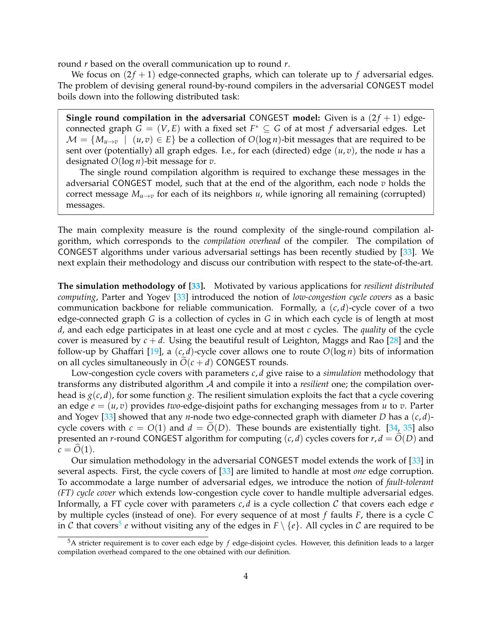round *r* based on the overall communication up to round *r*.

We focus on  $(2f + 1)$  edge-connected graphs, which can tolerate up to f adversarial edges. The problem of devising general round-by-round compilers in the adversarial CONGEST model boils down into the following distributed task:

**Single round compilation in the adversarial CONGEST model:** Given is a  $(2f + 1)$  edgeconnected graph  $G = (V, E)$  with a fixed set  $F^* \subseteq G$  of at most  $f$  adversarial edges. Let  $M = \{M_{u \to v} \mid (u, v) \in E\}$  be a collection of  $O(\log n)$ -bit messages that are required to be sent over (potentially) all graph edges. I.e., for each (directed) edge (*u*, *v*), the node *u* has a designated *O*(log *n*)-bit message for *v*.

The single round compilation algorithm is required to exchange these messages in the adversarial CONGEST model, such that at the end of the algorithm, each node *v* holds the correct message  $M_{u\to v}$  for each of its neighbors *u*, while ignoring all remaining (corrupted) messages.

The main complexity measure is the round complexity of the single-round compilation algorithm, which corresponds to the *compilation overhead* of the compiler. The compilation of CONGEST algorithms under various adversarial settings has been recently studied by [\[33\]](#page-29-7). We next explain their methodology and discuss our contribution with respect to the state-of-the-art.

**The simulation methodology of [\[33\]](#page-29-7).** Motivated by various applications for *resilient distributed computing*, Parter and Yogev [\[33\]](#page-29-7) introduced the notion of *low-congestion cycle covers* as a basic communication backbone for reliable communication. Formally, a (*c*, *d*)-cycle cover of a two edge-connected graph *G* is a collection of cycles in *G* in which each cycle is of length at most *d*, and each edge participates in at least one cycle and at most *c* cycles. The *quality* of the cycle cover is measured by  $c + d$ . Using the beautiful result of Leighton, Maggs and Rao [\[28\]](#page-28-10) and the follow-up by Ghaffari [\[19\]](#page-28-11), a  $(c, d)$ -cycle cover allows one to route  $O(\log n)$  bits of information on all cycles simultaneously in  $O(c + d)$  CONGEST rounds.

Low-congestion cycle covers with parameters *c*, *d* give raise to a *simulation* methodology that transforms any distributed algorithm A and compile it into a *resilient* one; the compilation overhead is  $g(c, d)$ , for some function *g*. The resilient simulation exploits the fact that a cycle covering an edge *e* = (*u*, *v*) provides *two*-edge-disjoint paths for exchanging messages from *u* to *v*. Parter and Yogev [\[33\]](#page-29-7) showed that any *n*-node two edge-connected graph with diameter *D* has a (*c*, *d*) cycle covers with  $c = O(1)$  and  $d = O(D)$ . These bounds are existentially tight. [\[34,](#page-29-0) [35\]](#page-29-1) also presented an *r*-round CONGEST algorithm for computing  $(c, d)$  cycles covers for  $r, d = O(D)$  and  $c = O(1)$ .

Our simulation methodology in the adversarial CONGEST model extends the work of [\[33\]](#page-29-7) in several aspects. First, the cycle covers of [\[33\]](#page-29-7) are limited to handle at most *one* edge corruption. To accommodate a large number of adversarial edges, we introduce the notion of *fault-tolerant (FT) cycle cover* which extends low-congestion cycle cover to handle multiple adversarial edges. Informally, a FT cycle cover with parameters  $c$ ,  $d$  is a cycle collection  $C$  that covers each edge  $e$ by multiple cycles (instead of one). For every sequence of at most *f* faults *F*, there is a cycle *C* in  $\cal C$  that covers $^5$  $^5$   $e$  without visiting any of the edges in  $F \setminus \{e\}$ . All cycles in  $\cal C$  are required to be

<span id="page-3-0"></span><sup>5</sup>A stricter requirement is to cover each edge by *f* edge-disjoint cycles. However, this definition leads to a larger compilation overhead compared to the one obtained with our definition.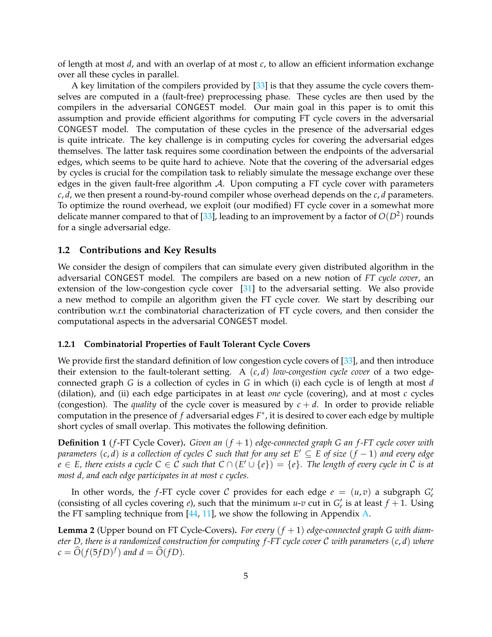of length at most *d*, and with an overlap of at most *c*, to allow an efficient information exchange over all these cycles in parallel.

A key limitation of the compilers provided by [\[33\]](#page-29-7) is that they assume the cycle covers themselves are computed in a (fault-free) preprocessing phase. These cycles are then used by the compilers in the adversarial CONGEST model. Our main goal in this paper is to omit this assumption and provide efficient algorithms for computing FT cycle covers in the adversarial CONGEST model. The computation of these cycles in the presence of the adversarial edges is quite intricate. The key challenge is in computing cycles for covering the adversarial edges themselves. The latter task requires some coordination between the endpoints of the adversarial edges, which seems to be quite hard to achieve. Note that the covering of the adversarial edges by cycles is crucial for the compilation task to reliably simulate the message exchange over these edges in the given fault-free algorithm  $A$ . Upon computing a FT cycle cover with parameters *c*, *d*, we then present a round-by-round compiler whose overhead depends on the *c*, *d* parameters. To optimize the round overhead, we exploit (our modified) FT cycle cover in a somewhat more delicate manner compared to that of [\[33\]](#page-29-7), leading to an improvement by a factor of  $O(D^2)$  rounds for a single adversarial edge.

#### <span id="page-4-0"></span>**1.2 Contributions and Key Results**

We consider the design of compilers that can simulate every given distributed algorithm in the adversarial CONGEST model. The compilers are based on a new notion of *FT cycle cover*, an extension of the low-congestion cycle cover [\[31\]](#page-29-8) to the adversarial setting. We also provide a new method to compile an algorithm given the FT cycle cover. We start by describing our contribution w.r.t the combinatorial characterization of FT cycle covers, and then consider the computational aspects in the adversarial CONGEST model.

#### <span id="page-4-1"></span>**1.2.1 Combinatorial Properties of Fault Tolerant Cycle Covers**

We provide first the standard definition of low congestion cycle covers of [\[33\]](#page-29-7), and then introduce their extension to the fault-tolerant setting. A (*c*, *d*) *low-congestion cycle cover* of a two edgeconnected graph *G* is a collection of cycles in *G* in which (i) each cycle is of length at most *d* (dilation), and (ii) each edge participates in at least *one* cycle (covering), and at most *c* cycles (congestion). The *quality* of the cycle cover is measured by  $c + d$ . In order to provide reliable computation in the presence of *f* adversarial edges *F* ∗ , it is desired to cover each edge by multiple short cycles of small overlap. This motivates the following definition.

<span id="page-4-2"></span>**Definition 1** (*f*-FT Cycle Cover)**.** *Given an* (*f* + 1) *edge-connected graph G an f -FT cycle cover with parameters* (*c*, *d*) *is a collection of cycles* C *such that for any set E*′ ⊆ *E of size* (*f* − 1) *and every edge e* ∈ *E*, there exists a cycle  $C \in C$  such that  $C \cap (E' \cup \{e\}) = \{e\}$ . The length of every cycle in C is at *most d, and each edge participates in at most c cycles.*

In other words, the *f*-FT cycle cover C provides for each edge  $e = (u, v)$  a subgraph  $G_e'$ (consisting of all cycles covering *e*), such that the minimum *u*-*v* cut in  $G'_{e}$  is at least  $f + 1$ . Using the FT sampling technique from [\[44,](#page-30-2) [11\]](#page-27-8), we show the following in Appendix [A.](#page-31-0)

<span id="page-4-3"></span>**Lemma 2** (Upper bound on FT Cycle-Covers)**.** *For every* (*f* + 1) *edge-connected graph G with diameter D, there is a randomized construction for computing f -FT cycle cover* C *with parameters* (*c*, *d*) *where*  $c = \widehat{O}(f(5fD)^f)$  and  $d = \widehat{O}(fD)$ *.*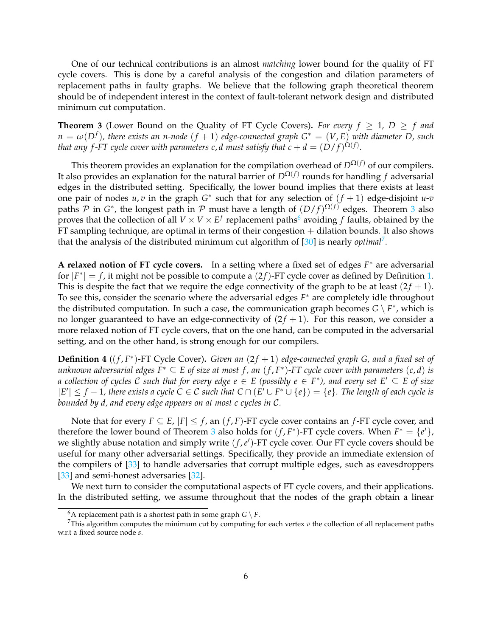One of our technical contributions is an almost *matching* lower bound for the quality of FT cycle covers. This is done by a careful analysis of the congestion and dilation parameters of replacement paths in faulty graphs. We believe that the following graph theoretical theorem should be of independent interest in the context of fault-tolerant network design and distributed minimum cut computation.

<span id="page-5-0"></span>**Theorem 3** (Lower Bound on the Quality of FT Cycle Covers). For every  $f \geq 1$ ,  $D \geq f$  and *n* = *ω*(*D<sup>f</sup>* )*, there exists an n-node* (*f* + 1) *edge-connected graph G*<sup>∗</sup> = (*V*, *E*) *with diameter D, such that any f-FT cycle cover with parameters c,*  $d$  *must satisfy that*  $c + d = (D/f)^{\Omega(f)}.$ 

This theorem provides an explanation for the compilation overhead of  $D^{\Omega(f)}$  of our compilers. It also provides an explanation for the natural barrier of *D*Ω(*f*) rounds for handling *f* adversarial edges in the distributed setting. Specifically, the lower bound implies that there exists at least one pair of nodes  $u, v$  in the graph  $G^*$  such that for any selection of  $(f + 1)$  edge-disjoint  $u$ - $v$ paths  $P$  in  $G^*$ , the longest path in  $P$  must have a length of  $(D/f)^{\Omega(f)}$  edges. Theorem [3](#page-5-0) also proves that the collection of all  $V \times V \times E^f$  replacement paths<sup>[6](#page-5-1)</sup> avoiding  $f$  faults, obtained by the  $FT$  sampling technique, are optimal in terms of their congestion  $+$  dilation bounds. It also shows that the analysis of the distributed minimum cut algorithm of [\[30\]](#page-29-9) is nearly *optimal*[7](#page-5-2) .

A relaxed notion of FT cycle covers. In a setting where a fixed set of edges  $F^*$  are adversarial for  $|F^*| = f$ , it might not be possible to compute a  $(2f)$ -FT cycle cover as defined by Definition [1.](#page-4-2) This is despite the fact that we require the edge connectivity of the graph to be at least  $(2f + 1)$ . To see this, consider the scenario where the adversarial edges *F* <sup>∗</sup> are completely idle throughout the distributed computation. In such a case, the communication graph becomes  $G \setminus F^*$ , which is no longer guaranteed to have an edge-connectivity of  $(2f + 1)$ . For this reason, we consider a more relaxed notion of FT cycle covers, that on the one hand, can be computed in the adversarial setting, and on the other hand, is strong enough for our compilers.

<span id="page-5-3"></span>**Definition 4** ((*f*, *F*<sup>\*</sup>)-FT Cycle Cover). *Given an* (2*f* + 1) edge-connected graph *G*, and a fixed set of *unknown adversarial edges F*<sup>∗</sup> ⊆ *E of size at most f , an* (*f* , *F* ∗ )*-FT cycle cover with parameters* (*c*, *d*) *is*  $a$  *collection of cycles*  $C$  *such that for every edge*  $e \in E$  *(possibly*  $e \in F^*$ *), and every set*  $E' \subseteq E$  *of size*  $|E'|$  ≤ *f* − 1, there exists a cycle C ∈ C such that C ∩ ( $E' \cup F^* \cup \{e\}$ ) = {*e*}. The length of each cycle is *bounded by d, and every edge appears on at most c cycles in* C*.*

Note that for every  $F \subseteq E$ ,  $|F| \leq f$ , an  $(f, F)$ -FT cycle cover contains an  $f$ -FT cycle cover, and therefore the lower bound of Theorem [3](#page-5-0) also holds for  $(f, F^*)$ -FT cycle covers. When  $F^* = \{e\}$ , we slightly abuse notation and simply write  $(f, e')$ -FT cycle cover. Our FT cycle covers should be useful for many other adversarial settings. Specifically, they provide an immediate extension of the compilers of [\[33\]](#page-29-7) to handle adversaries that corrupt multiple edges, such as eavesdroppers [\[33\]](#page-29-7) and semi-honest adversaries [\[32\]](#page-29-10).

We next turn to consider the computational aspects of FT cycle covers, and their applications. In the distributed setting, we assume throughout that the nodes of the graph obtain a linear

<span id="page-5-2"></span><span id="page-5-1"></span><sup>&</sup>lt;sup>6</sup>A replacement path is a shortest path in some graph  $G \setminus F$ .

<sup>7</sup>This algorithm computes the minimum cut by computing for each vertex *v* the collection of all replacement paths w.r.t a fixed source node *s*.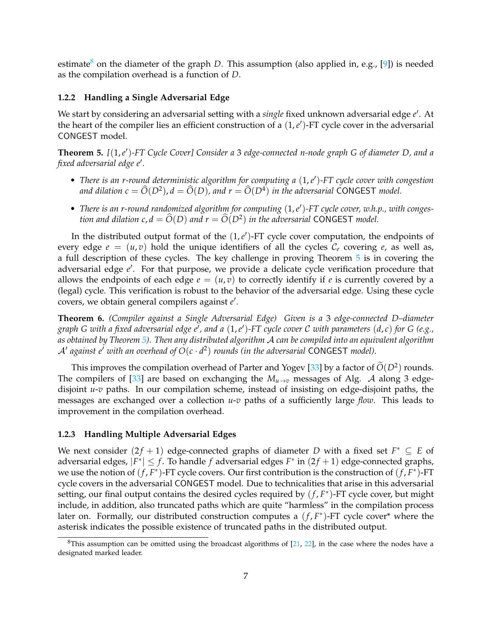estimate<sup>[8](#page-6-2)</sup> on the diameter of the graph *D*. This assumption (also applied in, e.g., [\[9\]](#page-27-9)) is needed as the compilation overhead is a function of *D*.

#### <span id="page-6-0"></span>**1.2.2 Handling a Single Adversarial Edge**

We start by considering an adversarial setting with a *single* fixed unknown adversarial edge *e* ′ . At the heart of the compiler lies an efficient construction of a  $(1,e')$ -FT cycle cover in the adversarial CONGEST model.

<span id="page-6-3"></span>**Theorem 5.** *[*(1,*e* ′ )*-FT Cycle Cover] Consider a* 3 *edge-connected n-node graph G of diameter D, and a fixed adversarial edge e*′ *.*

- *There is an r-round deterministic algorithm for computing a* (1,*e* ′ )*-FT cycle cover with congestion and dilation*  $c = \widehat{O}(D^2)$ ,  $d = \widehat{O}(D)$ , and  $r = \widehat{O}(D^4)$  in the adversarial CONGEST model.
- There is an r-round randomized algorithm for computing  $(1, e')$ -FT cycle cover, w.h.p., with conges*tion and dilation c,*  $d = \widehat{O}(D)$  *and*  $r = \widehat{O}(D^2)$  *in the adversarial* CONGEST *model.*

In the distributed output format of the  $(1, e')$ -FT cycle cover computation, the endpoints of every edge  $e = (u, v)$  hold the unique identifiers of all the cycles  $C_e$  covering  $e$ , as well as, a full description of these cycles. The key challenge in proving Theorem [5](#page-6-3) is in covering the adversarial edge e'. For that purpose, we provide a delicate cycle verification procedure that allows the endpoints of each edge  $e = (u, v)$  to correctly identify if  $e$  is currently covered by a (legal) cycle. This verification is robust to the behavior of the adversarial edge. Using these cycle covers, we obtain general compilers against *e* ′ .

<span id="page-6-4"></span>**Theorem 6.** *(Compiler against a Single Adversarial Edge) Given is a* 3 *edge-connected D–diameter graph G with a fixed adversarial edge e*′ *, and a* (1,*e* ′ )*-FT cycle cover* C *with parameters* (*d*, *c*) *for G (e.g., as obtained by Theorem [5\)](#page-6-3). Then any distributed algorithm* A *can be compiled into an equivalent algorithm*  $\mathcal{A}'$  against e' with an overhead of  $O(c \cdot d^2)$  rounds (in the adversarial CONGEST model).

This improves the compilation overhead of Parter and Yogev [\[33\]](#page-29-7) by a factor of  $\tilde{O}(D^2)$  rounds. The compilers of [\[33\]](#page-29-7) are based on exchanging the  $M_{u\to v}$  messages of Alg. A along 3 edgedisjoint *u*-*v* paths. In our compilation scheme, instead of insisting on edge-disjoint paths, the messages are exchanged over a collection *u*-*v* paths of a sufficiently large *flow*. This leads to improvement in the compilation overhead.

#### <span id="page-6-1"></span>**1.2.3 Handling Multiple Adversarial Edges**

We next consider  $(2f + 1)$  edge-connected graphs of diameter *D* with a fixed set  $F^* \subseteq E$  of adversarial edges,  $|F^*| \leq f$ . To handle *f* adversarial edges  $F^*$  in  $(2f + 1)$  edge-connected graphs, we use the notion of  $(f, F^*)$ -FT cycle covers. Our first contribution is the construction of  $(f, F^*)$ -FT cycle covers in the adversarial CONGEST model. Due to technicalities that arise in this adversarial setting, our final output contains the desired cycles required by  $(f, F^*)$ -FT cycle cover, but might include, in addition, also truncated paths which are quite "harmless" in the compilation process later on. Formally, our distributed construction computes a  $(f, F^*)$ -FT cycle cover\* where the asterisk indicates the possible existence of truncated paths in the distributed output.

<span id="page-6-2"></span> $8$ This assumption can be omitted using the broadcast algorithms of  $[21, 22]$  $[21, 22]$  $[21, 22]$ , in the case where the nodes have a designated marked leader.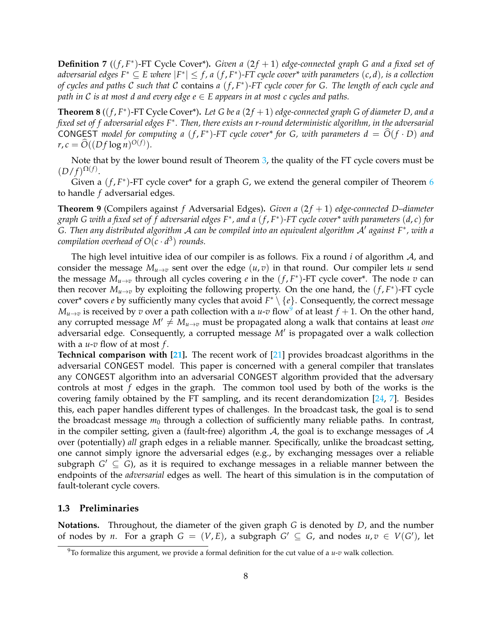**Definition 7** ((*f*, *F*<sup>\*</sup>)-FT Cycle Cover<sup>\*</sup>). *Given a* (2*f* + 1) *edge-connected graph G and a fixed set of*  $a$ dversarial edges F $^* \subseteq E$  where  $|F^*| \leq f$ , a  $(f, F^*)$ -FT cycle cover $^*$  with parameters  $(c, d)$ , is a collection *of cycles and paths* C *such that* C contains *a* (*f* , *F* ∗ )*-FT cycle cover for G. The length of each cycle and path in* C *is at most d and every edge*  $e \in E$  *appears in at most c cycles and paths.* 

<span id="page-7-2"></span>**Theorem 8** ( $(f, F^*)$ -FT Cycle Cover<sup>\*</sup>). Let G be a  $(2f + 1)$  edge-connected graph G of diameter D, and a *fixed set of f adversarial edges F*<sup>∗</sup> *. Then, there exists an r-round deterministic algorithm, in the adversarial* CONGEST model for computing a  $(f, F^*)$ -FT cycle cover<sup>\*</sup> for G, with parameters  $d = \widehat{O}(f \cdot D)$  and  $r, c = \hat{O}((Df \log n)^{O(f)}).$ 

Note that by the lower bound result of Theorem [3,](#page-5-0) the quality of the FT cycle covers must be  $(D/f)^{\Omega(f)}.$ 

Given a  $(f, F^*)$ -FT cycle cover<sup>\*</sup> for a graph *G*, we extend the general compiler of Theorem [6](#page-6-4) to handle *f* adversarial edges.

<span id="page-7-3"></span>**Theorem 9** (Compilers against *f* Adversarial Edges). *Given a* (2*f* + 1) *edge-connected D-diameter graph G with a fixed set of f adversarial edges F*<sup>∗</sup> *, and a* (*f* , *F* ∗ )*-FT cycle cover\* with parameters* (*d*, *c*) *for G. Then any distributed algorithm* A *can be compiled into an equivalent algorithm* A′ *against F*<sup>∗</sup> *, with a compilation overhead of*  $O(c \cdot d^3)$  *rounds.* 

The high level intuitive idea of our compiler is as follows. Fix a round *i* of algorithm A, and consider the message  $M_{u\to v}$  sent over the edge  $(u, v)$  in that round. Our compiler lets *u* send the message  $M_{u\to v}$  through all cycles covering *e* in the  $(f, F^*)$ -FT cycle cover<sup>\*</sup>. The node *v* can then recover  $M_{u\to v}$  by exploiting the following property. On the one hand, the  $(f, F^*)$ -FT cycle cover\* covers *e* by sufficiently many cycles that avoid *F* <sup>∗</sup> \ {*e*}. Consequently, the correct message  $M_{u\to v}$  is received by *v* over a path collection with a *u*-*v* flow<sup>[9](#page-7-1)</sup> of at least  $f + 1$ . On the other hand, any corrupted message  $M' \neq M_{u \to v}$  must be propagated along a walk that contains at least *one* adversarial edge. Consequently, a corrupted message *M*′ is propagated over a walk collection with a *u*-*v* flow of at most *f* .

**Technical comparison with [\[21\]](#page-28-9).** The recent work of [\[21\]](#page-28-9) provides broadcast algorithms in the adversarial CONGEST model. This paper is concerned with a general compiler that translates any CONGEST algorithm into an adversarial CONGEST algorithm provided that the adversary controls at most *f* edges in the graph. The common tool used by both of the works is the covering family obtained by the FT sampling, and its recent derandomization [\[24,](#page-28-13) [7\]](#page-27-10). Besides this, each paper handles different types of challenges. In the broadcast task, the goal is to send the broadcast message  $m_0$  through a collection of sufficiently many reliable paths. In contrast, in the compiler setting, given a (fault-free) algorithm  $A$ , the goal is to exchange messages of  $A$ over (potentially) *all* graph edges in a reliable manner. Specifically, unlike the broadcast setting, one cannot simply ignore the adversarial edges (e.g., by exchanging messages over a reliable subgraph  $G' \subseteq G$ ), as it is required to exchange messages in a reliable manner between the endpoints of the *adversarial* edges as well. The heart of this simulation is in the computation of fault-tolerant cycle covers.

#### <span id="page-7-0"></span>**1.3 Preliminaries**

**Notations.** Throughout, the diameter of the given graph *G* is denoted by *D*, and the number of nodes by *n*. For a graph  $G = (V, E)$ , a subgraph  $G' \subseteq G$ , and nodes  $u, v \in V(G')$ , let

<span id="page-7-1"></span><sup>9</sup>To formalize this argument, we provide a formal definition for the cut value of a *u*-*v* walk collection.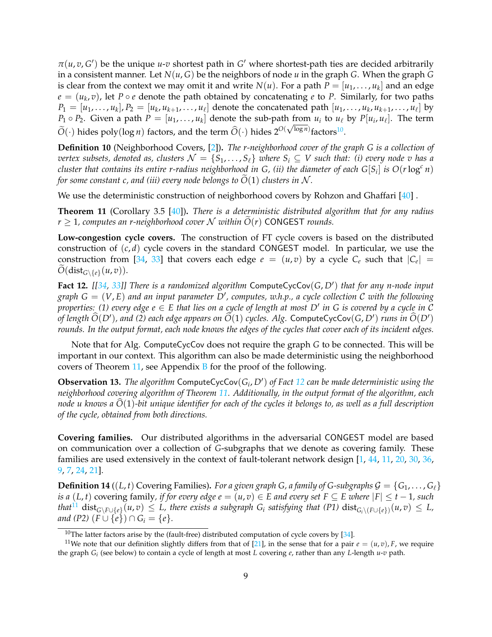$\pi(u, v, G')$  be the unique *u-v* shortest path in  $G'$  where shortest-path ties are decided arbitrarily in a consistent manner. Let  $N(u, G)$  be the neighbors of node  $u$  in the graph  $G$ . When the graph  $G$ is clear from the context we may omit it and write  $N(u)$ . For a path  $P = [u_1, \ldots, u_k]$  and an edge  $e = (u_k, v)$ , let  $P \circ e$  denote the path obtained by concatenating  $e$  to  $P$ . Similarly, for two paths  $P_1=[u_1,\ldots,u_k], P_2=[u_k,u_{k+1},\ldots,u_\ell]$  denote the concatenated path  $[u_1,\ldots,u_k,u_{k+1},\ldots,u_\ell]$  by  $P_1 \circ P_2$ . Given a path  $P = [u_1, \ldots, u_k]$  denote the sub-path from  $u_i$  to  $u_\ell$  by  $P[u_i, u_\ell]$ . The term  $\widetilde{O}(\cdot)$  hides poly(log *n*) factors, and the term  $\widehat{O}(\cdot)$  hides  $2^{O(\sqrt{\log n})}$  factors<sup>[10](#page-8-0)</sup>.

<span id="page-8-6"></span>**Definition 10** (Neighborhood Covers, [\[2\]](#page-27-11))**.** *The r-neighborhood cover of the graph G is a collection of vertex subsets, denoted as, clusters*  $\mathcal{N} = \{S_1, \ldots, S_\ell\}$  *where*  $S_i \subseteq V$  *such that: (i) every node v has a cluster that contains its entire r-radius neighborhood in G, (ii) the diameter of each*  $G[S_i]$  *is*  $O(r\log^c n)$ *for some constant c, and (iii) every node belongs to*  $\overline{O}(1)$  *clusters in*  $\mathcal{N}$ *.* 

We use the deterministic construction of neighborhood covers by Rohzon and Ghaffari [\[40\]](#page-29-11).

<span id="page-8-1"></span>**Theorem 11** (Corollary 3.5 [\[40\]](#page-29-11))**.** *There is a deterministic distributed algorithm that for any radius*  $r > 1$ , computes an *r*-neighborhood cover N within  $\tilde{O}(r)$  CONGEST rounds.

**Low-congestion cycle covers.** The construction of FT cycle covers is based on the distributed construction of  $(c, d)$  cycle covers in the standard CONGEST model. In particular, we use the construction from [\[34,](#page-29-0) [33\]](#page-29-7) that covers each edge  $e = (u, v)$  by a cycle  $C_e$  such that  $|C_e|$  =  $O(\text{dist}_{G \setminus \{e\}}(u,v)).$ 

<span id="page-8-2"></span>**Fact 12.** *[[\[34,](#page-29-0) [33\]](#page-29-7)] There is a randomized algorithm* ComputeCycCov(*G*, *D*′ ) *that for any n-node input graph G* = (*V*, *E*) *and an input parameter D*′ *, computes, w.h.p., a cycle collection* C *with the following properties: (1) every edge e* ∈ *E that lies on a cycle of length at most D*′ *in G is covered by a cycle in* C *of length*  $\widehat{O}(D')$ , and (2) each edge appears on  $\widehat{O}(1)$  *cycles. Alg.* ComputeCycCov(*G, D'*) *runs in*  $\widehat{O}(D')$ *rounds. In the output format, each node knows the edges of the cycles that cover each of its incident edges.*

Note that for Alg. ComputeCycCov does not require the graph *G* to be connected. This will be important in our context. This algorithm can also be made deterministic using the neighborhood covers of Theorem [11,](#page-8-1) see Appendix [B](#page-31-1) for the proof of the following.

<span id="page-8-4"></span>**Observation 13.** *The algorithm* ComputeCycCov(*G<sup>i</sup>* , *D*′ ) *of Fact [12](#page-8-2) can be made deterministic using the neighborhood covering algorithm of Theorem [11.](#page-8-1) Additionally, in the output format of the algorithm, each node u knows a*  $\widehat{O}(1)$ -bit unique identifier for each of the cycles it belongs to, as well as a full description *of the cycle, obtained from both directions.*

**Covering families.** Our distributed algorithms in the adversarial CONGEST model are based on communication over a collection of *G*-subgraphs that we denote as covering family. These families are used extensively in the context of fault-tolerant network design [\[1,](#page-27-12) [44,](#page-30-2) [11,](#page-27-8) [20,](#page-28-14) [30,](#page-29-9) [36,](#page-29-12) [9,](#page-27-9) [7,](#page-27-10) [24,](#page-28-13) [21\]](#page-28-9).

<span id="page-8-5"></span>**Definition 14** ((*L*, *t*) Covering Families). *For a given graph G, a family of G-subgraphs*  $G = \{G_1, \ldots, G_\ell\}$ *is a* (*L*, *t*) covering family, *if for every edge e* =  $(u, v) \in E$  *and every set*  $F \subseteq E$  *where*  $|F| \le t - 1$ *, such*  $that^{11}$  $that^{11}$  $that^{11}$  dist $_{G\setminus F\cup\{e\}}(u,v) \leq L$ , there exists a subgraph  $G_i$  satisfying that (P1)  $\text{dist}_{G_i\setminus (F\cup\{e\})}(u,v) \leq L$ , *and* (P2)  $(F \cup \{e\}) \cap G_i = \{e\}.$ 

<span id="page-8-3"></span><span id="page-8-0"></span><sup>&</sup>lt;sup>10</sup>The latter factors arise by the (fault-free) distributed computation of cycle covers by  $[34]$ .

<sup>&</sup>lt;sup>11</sup>We note that our definition slightly differs from that of [\[21\]](#page-28-9), in the sense that for a pair  $e = (u, v)$ , *F*, we require the graph *G<sup>i</sup>* (see below) to contain a cycle of length at most *L* covering *e*, rather than any *L*-length *u*-*v* path.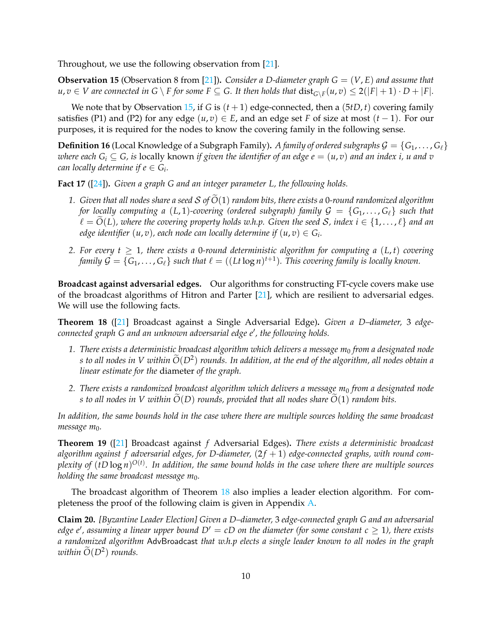Throughout, we use the following observation from [\[21\]](#page-28-9).

<span id="page-9-1"></span>**Observation 15** (Observation 8 from [\[21\]](#page-28-9))**.** *Consider a D-diameter graph G* = (*V*, *E*) *and assume that*  $u, v \in V$  are connected in  $G \setminus F$  for some  $F \subseteq G$ . It then holds that  $dist_{G \setminus F}(u, v) \leq 2(|F| + 1) \cdot D + |F|$ .

We note that by Observation [15,](#page-9-1) if *G* is  $(t + 1)$  edge-connected, then a  $(5tD, t)$  covering family satisfies (P1) and (P2) for any edge  $(u, v) \in E$ , and an edge set *F* of size at most  $(t - 1)$ . For our purposes, it is required for the nodes to know the covering family in the following sense.

**Definition 16** (Local Knowledge of a Subgraph Family). *A family of ordered subgraphs*  $G = \{G_1, \ldots, G_\ell\}$ *where each*  $G_i \subseteq G$ , is locally known if given the identifier of an edge  $e = (u, v)$  and an index i, u and v *can locally determine if*  $e \in G_i$ *.* 

<span id="page-9-3"></span>**Fact 17** ([\[24\]](#page-28-13))**.** *Given a graph G and an integer parameter L, the following holds.*

- 1. *Given that all nodes share a seed*  $S$  *of*  $O(1)$  *random bits, there exists a* 0-round randomized algorithm *for locally computing a* (*L*, 1)*-covering (ordered subgraph) family*  $G = \{G_1, \ldots, G_\ell\}$  *such that*  $\ell = \tilde{O}(L)$ , where the covering property holds w.h.p. Given the seed S, index  $i \in \{1, \ldots, \ell\}$  and an *edge identifier*  $(u,v)$ *, each node can locally determine if*  $(u,v) \in G_i.$
- 2. For every  $t \geq 1$ , there exists a 0-round deterministic algorithm for computing a  $(L, t)$  covering *family*  $\mathcal{G} = \{G_1, \ldots, G_\ell\}$  such that  $\ell = ((Lt\log n)^{t+1})$ . This covering family is locally known.

**Broadcast against adversarial edges.** Our algorithms for constructing FT-cycle covers make use of the broadcast algorithms of Hitron and Parter [\[21\]](#page-28-9), which are resilient to adversarial edges. We will use the following facts.

<span id="page-9-2"></span>**Theorem 18** ([\[21\]](#page-28-9) Broadcast against a Single Adversarial Edge)**.** *Given a D–diameter,* 3 *edgeconnected graph G and an unknown adversarial edge e*′ *, the following holds.*

- *1. There exists a deterministic broadcast algorithm which delivers a message m*<sup>0</sup> *from a designated node s to all nodes in V within*  $\tilde{O}(D^2)$  *rounds. In addition, at the end of the algorithm, all nodes obtain a*<br>. *linear estimate for the* diameter *of the graph.*
- *2. There exists a randomized broadcast algorithm which delivers a message m*<sup>0</sup> *from a designated node s* to all nodes in V within  $\tilde{O}(D)$  *rounds, provided that all nodes share*  $\tilde{O}(1)$  *random bits.*

*In addition, the same bounds hold in the case where there are multiple sources holding the same broadcast* message m<sub>0</sub>.

<span id="page-9-5"></span>**Theorem 19** ([\[21\]](#page-28-9) Broadcast against *f* Adversarial Edges)**.** *There exists a deterministic broadcast* algorithm against f adversarial edges, for D-diameter,  $(2f + 1)$  edge-connected graphs, with round com*plexity of* (*tD* log *n*) *O*(*t*) *. In addition, the same bound holds in the case where there are multiple sources holding the same broadcast message m*<sub>0</sub>.

The broadcast algorithm of Theorem [18](#page-9-2) also implies a leader election algorithm. For completeness the proof of the following claim is given in Appendix [A.](#page-31-0)

<span id="page-9-4"></span><span id="page-9-0"></span>**Claim 20.** *[Byzantine Leader Election] Given a D–diameter,* 3 *edge-connected graph G and an adversarial edge e*′ *, assuming a linear upper bound D*′ = *cD on the diameter (for some constant c* ≥ 1*), there exists a randomized algorithm* AdvBroadcast *that w.h.p elects a single leader known to all nodes in the graph*  $within\ O(D^2)$  *rounds.*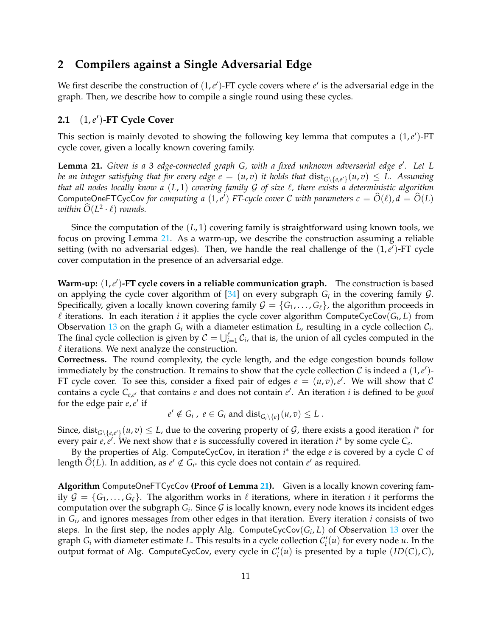# **2 Compilers against a Single Adversarial Edge**

We first describe the construction of  $(1, e')$ -FT cycle covers where  $e'$  is the adversarial edge in the graph. Then, we describe how to compile a single round using these cycles.

# <span id="page-10-0"></span>**2.1** (1,*e* ′ )**-FT Cycle Cover**

This section is mainly devoted to showing the following key lemma that computes a  $(1, e')$ -FT cycle cover, given a locally known covering family.

<span id="page-10-1"></span>**Lemma 21.** *Given is a* 3 *edge-connected graph G, with a fixed unknown adversarial edge e*′ *. Let L be an integer satisfying that for every edge*  $e = (u,v)$  *it holds that*  $\mathrm{dist}_{G \setminus \{e,e'\}}(u,v) \leq L$ *. Assuming that all nodes locally know a* (*L*, 1) *covering family* G *of size* ℓ*, there exists a deterministic algorithm* ComputeOneFTCycCov *for computing a*  $(1,e^t)$  *FT-cycle cover C with parameters*  $c = \widehat{O}(\ell), d = \widehat{O}(L)$ *within*  $\widehat{O}(L^2 \cdot \ell)$  *rounds.* 

Since the computation of the (*L*, 1) covering family is straightforward using known tools, we focus on proving Lemma [21.](#page-10-1) As a warm-up, we describe the construction assuming a reliable setting (with no adversarial edges). Then, we handle the real challenge of the  $(1,e')$ -FT cycle cover computation in the presence of an adversarial edge.

Warm-up:  $(1,e')$ -FT cycle covers in a reliable communication graph. The construction is based on applying the cycle cover algorithm of  $[34]$  on every subgraph  $G_i$  in the covering family  $G$ . Specifically, given a locally known covering family  $\mathcal{G} = \{G_1, \ldots, G_\ell\}$ , the algorithm proceeds in  $\ell$  iterations. In each iteration  $i$  it applies the cycle cover algorithm ComputeCycCov( $G_i$ , L) from Observation [13](#page-8-4) on the graph  $G_i$  with a diameter estimation  $L$ , resulting in a cycle collection  $C_i$ . The final cycle collection is given by  $C = \bigcup_{i=1}^{\ell} C_i$ , that is, the union of all cycles computed in the  $\ell$  iterations. We next analyze the construction.

**Correctness.** The round complexity, the cycle length, and the edge congestion bounds follow immediately by the construction. It remains to show that the cycle collection  $\mathcal C$  is indeed a  $(1,e')$ -FT cycle cover. To see this, consider a fixed pair of edges  $e = (u, v)$ , e'. We will show that C contains a cycle *Ce*,*<sup>e</sup>* ′ that contains *e* and does not contain *e* ′ . An iteration *i* is defined to be *good* for the edge pair  $e, e'$  if

$$
e' \notin G_i
$$
,  $e \in G_i$  and  $dist_{G_i \setminus \{e\}}(u, v) \leq L$ .

Since, dist<sub>G</sub>\{*e*,*e'*}</sub> (*u*, *v*)  $\leq L$ , due to the covering property of *G*, there exists a good iteration *i*<sup>\*</sup> for every pair *e*, *e*<sup>*'*</sup>. We next show that *e* is successfully covered in iteration *i*<sup>∗</sup> by some cycle *C*<sub>*e*</sub>.

By the properties of Alg. ComputeCycCov, in iteration *i* ∗ the edge *e* is covered by a cycle *C* of length  $\widehat{O}(L)$ . In addition, as  $e' \notin G_{i^*}$  this cycle does not contain  $e'$  as required.

**Algorithm** ComputeOneFTCycCov **(Proof of Lemma [21\)](#page-10-1).** Given is a locally known covering family  $\mathcal{G} = \{G_1, \ldots, G_\ell\}$ . The algorithm works in  $\ell$  iterations, where in iteration *i* it performs the computation over the subgraph  $G_i$ . Since  $\mathcal G$  is locally known, every node knows its incident edges in *G<sup>i</sup>* , and ignores messages from other edges in that iteration. Every iteration *i* consists of two steps. In the first step, the nodes apply Alg. ComputeCycCov(*G<sup>i</sup>* , *L*) of Observation [13](#page-8-4) over the graph  $G_i$  with diameter estimate L. This results in a cycle collection  $C_i'(u)$  for every node  $u$ . In the output format of Alg. ComputeCycCov, every cycle in  $C'_i(u)$  is presented by a tuple  $(ID(C), C)$ ,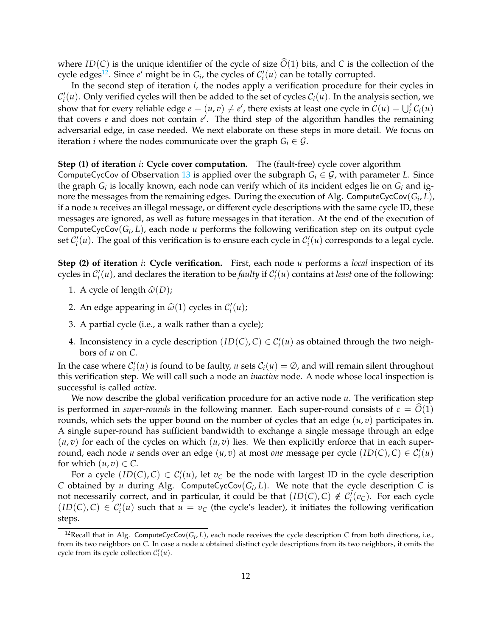where *ID*(*C*) is the unique identifier of the cycle of size  $\hat{O}(1)$  bits, and *C* is the collection of the cycle edges<sup>[12](#page-11-0)</sup>. Since  $e'$  might be in  $G_i$ , the cycles of  $C'_i(u)$  can be totally corrupted.

In the second step of iteration *i*, the nodes apply a verification procedure for their cycles in  $\mathcal{C}'_i(u)$ . Only verified cycles will then be added to the set of cycles  $\mathcal{C}_i(u)$ . In the analysis section, we show that for every reliable edge  $e = (u, v) \neq e'$ , there exists at least one cycle in  $C(u) = \bigcup_i^{\ell} C_i(u)$ that covers *e* and does not contain *e* ′ . The third step of the algorithm handles the remaining adversarial edge, in case needed. We next elaborate on these steps in more detail. We focus on iteration *i* where the nodes communicate over the graph  $G_i \in \mathcal{G}$ .

#### **Step (1) of iteration** *i***: Cycle cover computation.** The (fault-free) cycle cover algorithm

ComputeCycCov of Observation [13](#page-8-4) is applied over the subgraph  $G_i \in \mathcal{G}$ , with parameter *L*. Since the graph  $G_i$  is locally known, each node can verify which of its incident edges lie on  $G_i$  and ignore the messages from the remaining edges. During the execution of Alg. ComputeCycCov(*G<sup>i</sup>* , *L*), if a node *u* receives an illegal message, or different cycle descriptions with the same cycle ID, these messages are ignored, as well as future messages in that iteration. At the end of the execution of ComputeCycCov(*G<sup>i</sup>* , *L*), each node *u* performs the following verification step on its output cycle set  $C_i'(u)$ . The goal of this verification is to ensure each cycle in  $C_i'(u)$  corresponds to a legal cycle.

**Step (2) of iteration** *i***: Cycle verification.** First, each node *u* performs a *local* inspection of its cycles in  $C'_i(u)$ , and declares the iteration to be *faulty* if  $C'_i(u)$  contains at *least* one of the following:

- 1. A cycle of length  $\widehat{\omega}(D)$ ;
- 2. An edge appearing in  $\widehat{\omega}(1)$  cycles in  $\mathcal{C}'_i(u)$ ;
- 3. A partial cycle (i.e., a walk rather than a cycle);
- 4. Inconsistency in a cycle description  $(ID(C), C) \in C'_{i}(u)$  as obtained through the two neighbors of *u* on *C*.

In the case where  $C_i'(u)$  is found to be faulty, *u* sets  $C_i(u) = \emptyset$ , and will remain silent throughout this verification step. We will call such a node an *inactive* node. A node whose local inspection is successful is called *active*.

We now describe the global verification procedure for an active node *u*. The verification step is performed in *super-rounds* in the following manner. Each super-round consists of  $c = O(1)$ rounds, which sets the upper bound on the number of cycles that an edge (*u*, *v*) participates in. A single super-round has sufficient bandwidth to exchange a single message through an edge  $(u, v)$  for each of the cycles on which  $(u, v)$  lies. We then explicitly enforce that in each superround, each node *u* sends over an edge  $(u, v)$  at most *one* message per cycle  $(ID(C), C) \in C'_i(u)$ for which  $(u, v) \in C$ .

For a cycle  $(ID(C), C) \in C'_{i}(u)$ , let  $v_{C}$  be the node with largest ID in the cycle description *C* obtained by *u* during Alg. ComputeCycCov(*G<sup>i</sup>* , *L*). We note that the cycle description *C* is not necessarily correct, and in particular, it could be that  $(ID(C), C) \notin C_i^{\prime}(v_C)$ . For each cycle  $(ID(C), C) \in C'_i(u)$  such that  $u = v_C$  (the cycle's leader), it initiates the following verification steps.

<span id="page-11-0"></span><sup>&</sup>lt;sup>12</sup>Recall that in Alg. ComputeCycCov $(G_i, L)$ , each node receives the cycle description *C* from both directions, i.e., from its two neighbors on *C*. In case a node *u* obtained distinct cycle descriptions from its two neighbors, it omits the cycle from its cycle collection  $C_i'(u)$ .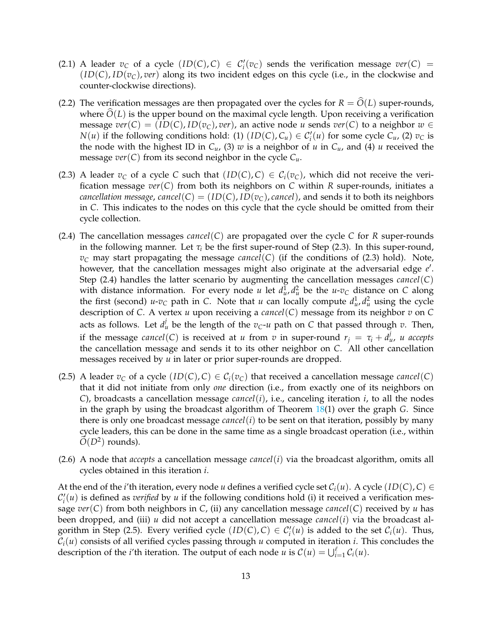- (2.1) A leader  $v_C$  of a cycle  $(ID(C), C) \in C'_i(v_C)$  sends the verification message  $ver(C)$  =  $(ID(C), ID(v<sub>C</sub>), ver)$  along its two incident edges on this cycle (i.e., in the clockwise and counter-clockwise directions).
- (2.2) The verification messages are then propagated over the cycles for  $R = \hat{O}(L)$  super-rounds, where  $O(L)$  is the upper bound on the maximal cycle length. Upon receiving a verification message  $ver(C) = (ID(C), ID(v_C), ver)$ , an active node *u* sends  $ver(C)$  to a neighbor  $w \in$ *N*(*u*) if the following conditions hold: (1) (*ID*(*C*),  $C_u$ )  $\in C'_i(u)$  for some cycle  $C_u$ , (2)  $v_C$  is the node with the highest ID in  $C_u$ , (3) *w* is a neighbor of *u* in  $C_u$ , and (4) *u* received the message  $ver(C)$  from its second neighbor in the cycle  $C_u$ .
- (2.3) A leader  $v_C$  of a cycle *C* such that  $(ID(C), C) \in C_i(v_C)$ , which did not receive the verification message *ver*(*C*) from both its neighbors on *C* within *R* super-rounds, initiates a *cancellation message, cancel*(*C*) = (*ID*(*C*), *ID*( $v<sub>C</sub>$ ), *cancel*), and sends it to both its neighbors in *C*. This indicates to the nodes on this cycle that the cycle should be omitted from their cycle collection.
- (2.4) The cancellation messages *cancel*( $C$ ) are propagated over the cycle  $C$  for  $R$  super-rounds in the following manner. Let  $\tau_i$  be the first super-round of Step (2.3). In this super-round,  $v_C$  may start propagating the message *cancel*(*C*) (if the conditions of (2.3) hold). Note, however, that the cancellation messages might also originate at the adversarial edge e'. Step (2.4) handles the latter scenario by augmenting the cancellation messages *cancel*(*C*) with distance information. For every node *u* let  $d_{\mu}^1$ ,  $d_{\mu}^2$  be the *u*-*v*<sub>*C*</sub> distance on *C* along the first (second)  $u-v_C$  path in *C*. Note that *u* can locally compute  $d_u^1$ ,  $d_u^2$  using the cycle description of *C*. A vertex *u* upon receiving a *cancel*(*C*) message from its neighbor *v* on *C* acts as follows. Let  $d_u^j$  be the length of the  $v_C$ - $u$  path on  $C$  that passed through  $v$ . Then, if the message *cancel*(*C*) is received at *u* from *v* in super-round  $r_j = \tau_i + d^j_u$ , *u* accepts the cancellation message and sends it to its other neighbor on *C*. All other cancellation messages received by *u* in later or prior super-rounds are dropped.
- (2.5) A leader  $v_C$  of a cycle  $(ID(C), C) \in C_i(v_C)$  that received a cancellation message *cancel*(*C*) that it did not initiate from only *one* direction (i.e., from exactly one of its neighbors on *C*), broadcasts a cancellation message *cancel*(*i*), i.e., canceling iteration *i*, to all the nodes in the graph by using the broadcast algorithm of Theorem [18\(](#page-9-2)1) over the graph *G*. Since there is only one broadcast message *cancel* $(i)$  to be sent on that iteration, possibly by many cycle leaders, this can be done in the same time as a single broadcast operation (i.e., within  $\tilde{O}(D^2)$  rounds).
- (2.6) A node that *accepts* a cancellation message *cancel*(*i*) via the broadcast algorithm, omits all cycles obtained in this iteration *i*.

At the end of the *i*'th iteration, every node *u* defines a verified cycle set  $C_i(u)$ . A cycle  $(ID(C), C) \in$  $\mathcal{C}'_i(u)$  is defined as *verified* by *u* if the following conditions hold (i) it received a verification message  $ver(C)$  from both neighbors in *C*, (ii) any cancellation message *cancel*(*C*) received by *u* has been dropped, and (iii) *u* did not accept a cancellation message *cancel*(*i*) via the broadcast algorithm in Step (2.5). Every verified cycle  $(ID(C), C) \in C'_i(u)$  is added to the set  $C_i(u)$ . Thus,  $C_i(u)$  consists of all verified cycles passing through *u* computed in iteration *i*. This concludes the description of the *i*'th iteration. The output of each node *u* is  $C(u) = \bigcup_{i=1}^{\ell} C_i(u)$ .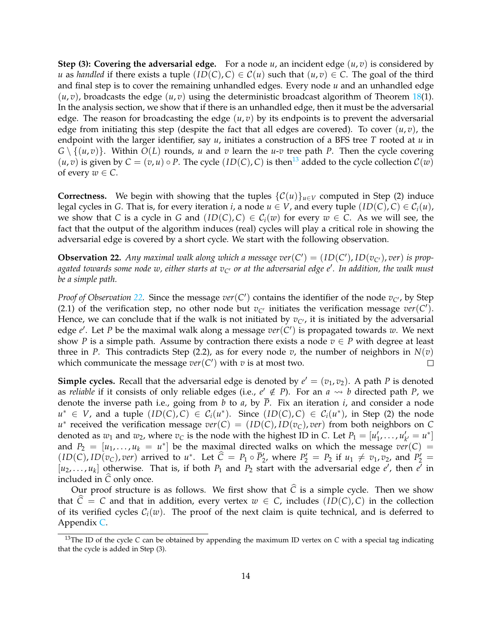**Step (3): Covering the adversarial edge.** For a node  $u$ , an incident edge  $(u, v)$  is considered by *u* as *handled* if there exists a tuple  $(ID(C), C) \in C(u)$  such that  $(u, v) \in C$ . The goal of the third and final step is to cover the remaining unhandled edges. Every node *u* and an unhandled edge  $(u, v)$ , broadcasts the edge  $(u, v)$  using the deterministic broadcast algorithm of Theorem [18\(](#page-9-2)1). In the analysis section, we show that if there is an unhandled edge, then it must be the adversarial edge. The reason for broadcasting the edge  $(u, v)$  by its endpoints is to prevent the adversarial edge from initiating this step (despite the fact that all edges are covered). To cover  $(u, v)$ , the endpoint with the larger identifier, say *u*, initiates a construction of a BFS tree *T* rooted at *u* in  $G \setminus \{(u, v)\}\$ . Within  $O(L)$  rounds, *u* and *v* learn the *u*-*v* tree path *P*. Then the cycle covering  $(u, v)$  is given by  $C = (v, u) \circ P$ . The cycle  $(ID(C), C)$  is then<sup>[13](#page-13-0)</sup> added to the cycle collection  $C(w)$ of every  $w \in C$ .

**Correctness.** We begin with showing that the tuples  $\{C(u)\}_{u\in V}$  computed in Step (2) induce legal cycles in *G*. That is, for every iteration *i*, a node  $u \in V$ , and every tuple  $(ID(C), C) \in C<sub>i</sub>(u)$ , we show that *C* is a cycle in *G* and  $(ID(C), C) \in C_i(w)$  for every  $w \in C$ . As we will see, the fact that the output of the algorithm induces (real) cycles will play a critical role in showing the adversarial edge is covered by a short cycle. We start with the following observation.

<span id="page-13-1"></span>**Observation 22.** Any maximal walk along which a message  $ver(C') = (ID(C'), ID(v_{C'}), ver)$  is prop*agated towards some node w, either starts at vC*′ *or at the adversarial edge e*′ *. In addition, the walk must be a simple path.*

*Proof of Observation* [22.](#page-13-1) Since the message  $ver(C')$  contains the identifier of the node  $v_{C'}$ , by Step (2.1) of the verification step, no other node but  $v_{C'}$  initiates the verification message  $ver(C')$ . Hence, we can conclude that if the walk is not initiated by  $v_{\gamma}$ , it is initiated by the adversarial edge *e* ′ . Let *P* be the maximal walk along a message *ver*(*C* ′ ) is propagated towards *w*. We next show *P* is a simple path. Assume by contraction there exists a node  $v \in P$  with degree at least three in *P*. This contradicts Step (2.2), as for every node *v*, the number of neighbors in  $N(v)$ which communicate the message  $ver(C')$  with  $v$  is at most two.  $\Box$ 

**Simple cycles.** Recall that the adversarial edge is denoted by  $e' = (v_1, v_2)$ . A path P is denoted as *reliable* if it consists of only reliable edges (i.e.,  $e' \notin P$ ). For an  $a \leadsto b$  directed path P, we denote the inverse path i.e., going from *b* to *a*, by  $\overline{P}$ . Fix an iteration *i*, and consider a node *u*<sup>∗</sup> ∈ *V*, and a tuple  $(ID(C), C)$  ∈  $C_i(u^*)$ . Since  $(ID(C), C)$  ∈  $C_i(u^*)$ , in Step (2) the node  $u^*$  received the verification message  $ver(C) = (ID(C), ID(v_C), ver)$  from both neighbors on *C* denoted as  $w_1$  and  $w_2$ , where  $v_C$  is the node with the highest ID in *C*. Let  $P_1 = [u'_1, \ldots, u'_{k'} = u^*]$ and  $P_2 = [u_1, \ldots, u_k = u^*]$  be the maximal directed walks on which the message  $ver(C)$  $(ID(C), ID(v<sub>C</sub>), ver)$  arrived to  $u^*$ . Let  $\hat{C} = P_1 \circ \overline{P'_2}$ , where  $P'_2 = P_2$  if  $u_1 \neq v_1, v_2$ , and  $P'_2 =$  $[u_1, \ldots, u_k]$  otherwise. That is, if both  $P_1$  and  $P_2$  start with the adversarial edge *e'*, then  $e^{\overline{t}}$  in included in  $\hat{C}$  only once.

Our proof structure is as follows. We first show that  $\hat{C}$  is a simple cycle. Then we show that  $\hat{C} = C$  and that in addition, every vertex  $w \in C$ , includes (*ID*(*C*), *C*) in the collection of its verified cycles  $C_i(w)$ . The proof of the next claim is quite technical, and is deferred to Appendix [C.](#page-32-0)

<span id="page-13-2"></span><span id="page-13-0"></span><sup>13</sup>The ID of the cycle *C* can be obtained by appending the maximum ID vertex on *C* with a special tag indicating that the cycle is added in Step (3).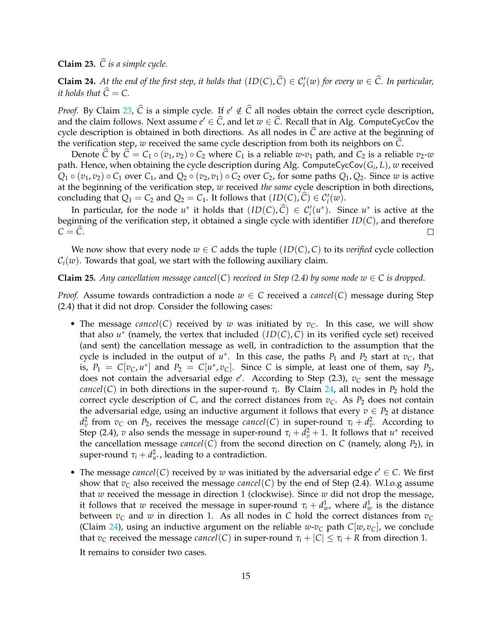**Claim 23.**  $\widehat{C}$  *is a simple cycle.* 

<span id="page-14-0"></span>**Claim 24.** At the end of the first step, it holds that  $(ID(C), \hat{C}) \in C'_{i}(w)$  for every  $w \in \hat{C}$ . In particular, *it holds that*  $\hat{C} = C$ .

*Proof.* By Claim [23,](#page-13-2)  $\hat{C}$  is a simple cycle. If  $e' \notin \hat{C}$  all nodes obtain the correct cycle description, and the claim follows. Next assume  $e' \in \widehat{C}$ , and let  $w \in \widehat{C}$ . Recall that in Alg. ComputeCycCov the cycle description is obtained in both directions. As all nodes in  $\hat{C}$  are active at the beginning of the verification step, *<sup>w</sup>* received the same cycle description from both its neighbors on *<sup>C</sup>*b.

Denote *C* by  $C = C_1 \circ (v_1, v_2) \circ C_2$  where  $C_1$  is a reliable *w*- $v_1$  path, and  $C_2$  is a reliable  $v_2$ -*w* path. Hence, when obtaining the cycle description during Alg. ComputeCycCov(*G<sup>i</sup>* , *L*), *w* received  $Q_1 \circ (v_1, v_2) \circ C_1$  over  $C_1$ , and  $Q_2 \circ (v_2, v_1) \circ C_2$  over  $C_2$ , for some paths  $Q_1, Q_2$ . Since *w* is active at the beginning of the verification step, *w* received *the same* cycle description in both directions, concluding that  $Q_1 = C_2$  and  $Q_2 = C_1$ . It follows that  $(ID(C), \hat{C}) \in C'_i(w)$ .

In particular, for the node  $u^*$  it holds that  $(ID(C), \hat{C}) \in C'_i(u^*)$ . Since  $u^*$  is active at the beginning of the verification step, it obtained a single cycle with identifier *ID*(*C*), and therefore  $C = \overline{C}$ . П

We now show that every node  $w \in C$  adds the tuple  $(ID(C), C)$  to its *verified* cycle collection  $C_i(w)$ . Towards that goal, we start with the following auxiliary claim.

#### <span id="page-14-1"></span>**Claim 25.** *Any cancellation message cancel*(*C*) *received in Step* (2.4) *by some node*  $w \in C$  *is dropped.*

*Proof.* Assume towards contradiction a node  $w \in C$  received a *cancel*(*C*) message during Step (2.4) that it did not drop. Consider the following cases:

- The message *cancel*(*C*) received by *w* was initiated by *vC*. In this case, we will show that also  $u^*$  (namely, the vertex that included  $(ID(C), C)$  in its verified cycle set) received (and sent) the cancellation message as well, in contradiction to the assumption that the cycle is included in the output of  $u^*$ . In this case, the paths  $P_1$  and  $P_2$  start at  $v_C$ , that is,  $P_1 = C[v_C, u^*]$  and  $P_2 = C[u^*, v_C]$ . Since *C* is simple, at least one of them, say  $P_2$ , does not contain the adversarial edge *e* ′ . According to Step (2.3), *v<sup>C</sup>* sent the message *cancel*(*C*) in both directions in the super-round *τ<sup>i</sup>* . By Claim [24,](#page-14-0) all nodes in *P*<sup>2</sup> hold the correct cycle description of *C*, and the correct distances from  $v<sub>C</sub>$ . As  $P<sub>2</sub>$  does not contain the adversarial edge, using an inductive argument it follows that every  $v \in P_2$  at distance *d*<sup>2</sup><sub>*v*</sub> from *v<sub>C</sub>* on *P*<sub>2</sub>, receives the message *cancel*(*C*) in super-round *τ<sub>i</sub>* + *d*<sup>2</sup><sub>*v*</sub>. According to Step (2.4), *v* also sends the message in super-round  $\tau_i + d_v^2 + 1$ . It follows that  $u^*$  received the cancellation message *cancel*(*C*) from the second direction on *C* (namely, along  $P_2$ ), in super-round  $\tau_i + d_{u^*}^2$ , leading to a contradiction.
- The message *cancel*(*C*) received by *w* was initiated by the adversarial edge  $e' \in C$ . We first show that  $v_C$  also received the message *cancel*(*C*) by the end of Step (2.4). W.l.o.g assume that *w* received the message in direction 1 (clockwise). Since *w* did not drop the message, it follows that *w* received the message in super-round  $\tau_i + d_w^1$ , where  $d_w^1$  is the distance between  $v_c$  and  $w$  in direction 1. As all nodes in C hold the correct distances from  $v_c$ (Claim [24\)](#page-14-0), using an inductive argument on the reliable  $w$ - $v<sub>C</sub>$  path  $C[w, v<sub>C</sub>]$ , we conclude that  $v_C$  received the message *cancel*(*C*) in super-round  $\tau_i + |C| \leq \tau_i + R$  from direction 1.

It remains to consider two cases.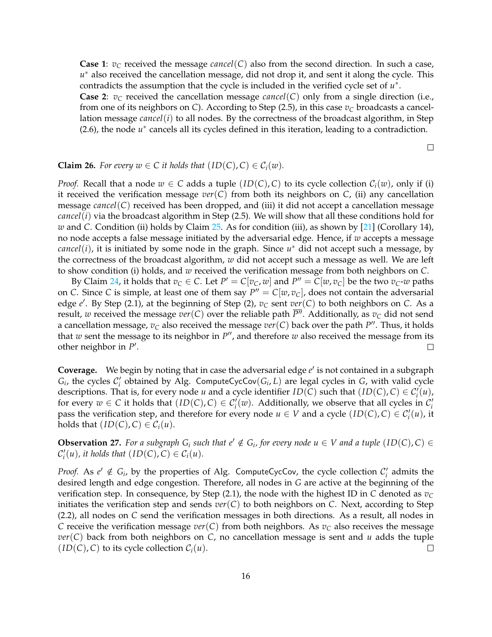**Case 1**: *v<sup>C</sup>* received the message *cancel*(*C*) also from the second direction. In such a case, *u* <sup>∗</sup> also received the cancellation message, did not drop it, and sent it along the cycle. This contradicts the assumption that the cycle is included in the verified cycle set of *u* ∗ .

**Case 2:**  $v_C$  received the cancellation message *cancel*(*C*) only from a single direction (i.e., from one of its neighbors on *C*). According to Step (2.5), in this case  $v_C$  broadcasts a cancellation message *cancel*(*i*) to all nodes. By the correctness of the broadcast algorithm, in Step  $(2.6)$ , the node  $u^*$  cancels all its cycles defined in this iteration, leading to a contradiction.

 $\Box$ 

<span id="page-15-1"></span>**Claim 26.** For every  $w \in C$  it holds that  $(ID(C), C) \in C_i(w)$ .

*Proof.* Recall that a node  $w \in C$  adds a tuple  $(ID(C), C)$  to its cycle collection  $C_i(w)$ , only if (i) it received the verification message *ver*(*C*) from both its neighbors on *C*, (ii) any cancellation message *cancel*(*C*) received has been dropped, and (iii) it did not accept a cancellation message *cancel*(*i*) via the broadcast algorithm in Step (2.5). We will show that all these conditions hold for *w* and *C*. Condition (ii) holds by Claim [25.](#page-14-1) As for condition (iii), as shown by [\[21\]](#page-28-9) (Corollary 14), no node accepts a false message initiated by the adversarial edge. Hence, if *w* accepts a message *cancel*(*i*), it is initiated by some node in the graph. Since *u* <sup>∗</sup> did not accept such a message, by the correctness of the broadcast algorithm, *w* did not accept such a message as well. We are left to show condition (i) holds, and *w* received the verification message from both neighbors on *C*.

By Claim [24,](#page-14-0) it holds that  $v_C \in C$ . Let  $P' = C[v_C, w]$  and  $P'' = C[w, v_C]$  be the two  $v_C$ -*w* paths on *C*. Since *C* is simple, at least one of them say  $P'' = C[w, v_C]$ , does not contain the adversarial edge *e* ′ . By Step (2.1), at the beginning of Step (2), *v<sup>C</sup>* sent *ver*(*C*) to both neighbors on *C*. As a result, *w* received the message *ver*(*C*) over the reliable path  $\overline{P}$ <sup>*n*</sup>. Additionally, as  $v_C$  did not send a cancellation message,  $v_C$  also received the message  $\mathit{ver}(\mathcal{C})$  back over the path  $P''$ . Thus, it holds that *w* sent the message to its neighbor in  $P''$ , and therefore *w* also received the message from its other neighbor in  $P'$ .  $\Box$ 

**Coverage.** We begin by noting that in case the adversarial edge e' is not contained in a subgraph  $G_i$ , the cycles  $C'_i$  obtained by Alg. ComputeCycCov( $G_i$ , L) are legal cycles in *G*, with valid cycle descriptions. That is, for every node *u* and a cycle identifier  $ID(C)$  such that  $(ID(C), C) \in C'_{i}(u)$ , for every  $w \in C$  it holds that  $(ID(C), C) \in C'_{i}(w)$ . Additionally, we observe that all cycles in  $C'_{i}$ pass the verification step, and therefore for every node  $u \in V$  and a cycle  $(ID(C), C) \in C'_{i}(u)$ , it holds that  $(ID(C), C) \in C_i(u)$ .

<span id="page-15-0"></span>**Observation 27.** For a subgraph  $G_i$  such that  $e' \notin G_i$ , for every node  $u \in V$  and a tuple  $(ID(C), C) \in$  $\mathcal{C}'_i(u)$ , it holds that  $(ID(C), C) \in \mathcal{C}_i(u)$ .

*Proof.* As  $e' \notin G_i$ , by the properties of Alg. ComputeCycCov, the cycle collection  $C'_i$  admits the desired length and edge congestion. Therefore, all nodes in *G* are active at the beginning of the verification step. In consequence, by Step (2.1), the node with the highest ID in *C* denoted as *v<sup>C</sup>* initiates the verification step and sends  $ver(C)$  to both neighbors on *C*. Next, according to Step (2.2), all nodes on *C* send the verification messages in both directions. As a result, all nodes in *C* receive the verification message  $ver(C)$  from both neighbors. As  $v<sub>C</sub>$  also receives the message *ver*(*C*) back from both neighbors on *C*, no cancellation message is sent and *u* adds the tuple  $(ID(C), C)$  to its cycle collection  $C<sub>i</sub>(u)$ .  $\Box$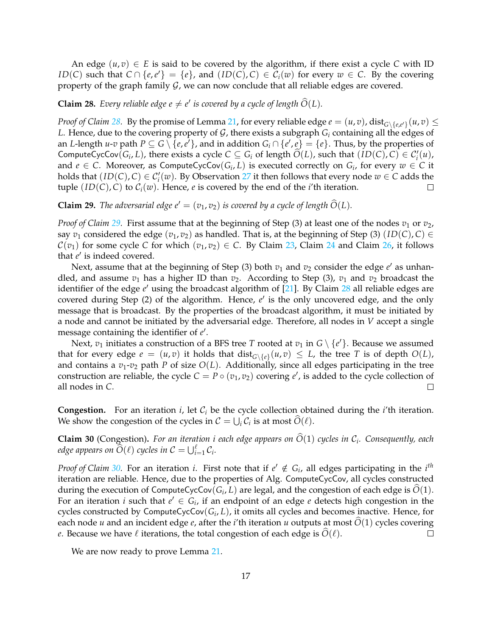An edge  $(u, v) \in E$  is said to be covered by the algorithm, if there exist a cycle C with ID *ID*(*C*) such that *C* ∩ {*e*,*e*'} = {*e*}, and (*ID*(*C*), *C*) ∈  $\overline{\mathcal{C}}_i(w)$  for every  $w \in C$ . By the covering property of the graph family  $G$ , we can now conclude that all reliable edges are covered.

<span id="page-16-0"></span>**Claim 28.** Every reliable edge  $e \neq e'$  is covered by a cycle of length  $\widehat{O}(L)$ .

*Proof of Claim [28.](#page-16-0)* By the promise of Lemma [21,](#page-10-1) for every reliable edge  $e = (u, v)$ , dist $_{G \setminus \{e, e'\}}(u, v) \le$ *L*. Hence, due to the covering property of  $G$ , there exists a subgraph  $G_i$  containing all the edges of an *L*-length *u*-*v* path  $P \subseteq G \setminus \{e,e'\}$ , and in addition  $G_i \cap \{e',e\} = \{e\}$ . Thus, by the properties of ComputeCycCov( $G_i, L$ ), there exists a cycle  $C \subseteq G_i$  of length  $\widehat{O}(L)$ , such that  $(ID(C), C) \in C'_i(u)$ , and  $e \in C$ . Moreover, as ComputeCycCov $(G_i, L)$  is executed correctly on  $G_i$ , for every  $w \in C$  it holds that  $(ID(C), C) \in C'_{i}(w)$ . By Observation [27](#page-15-0) it then follows that every node  $w \in C$  adds the tuple  $(ID(C), C)$  to  $C_i(w)$ . Hence, *e* is covered by the end of the *i*'th iteration.  $\Box$ 

<span id="page-16-1"></span>**Claim 29.** *The adversarial edge*  $e' = (v_1, v_2)$  *is covered by a cycle of length*  $\tilde{O}(L)$ *.* 

*Proof of Claim* [29.](#page-16-1) First assume that at the beginning of Step (3) at least one of the nodes  $v_1$  or  $v_2$ , say  $v_1$  considered the edge  $(v_1, v_2)$  as handled. That is, at the beginning of Step (3)  $(ID(C), C) \in$  $C(v_1)$  for some cycle C for which  $(v_1, v_2) \in C$ . By Claim [23,](#page-13-2) Claim [24](#page-14-0) and Claim [26,](#page-15-1) it follows that *e'* is indeed covered.

Next, assume that at the beginning of Step (3) both  $v_1$  and  $v_2$  consider the edge  $e'$  as unhandled, and assume  $v_1$  has a higher ID than  $v_2$ . According to Step (3),  $v_1$  and  $v_2$  broadcast the identifier of the edge *e* ′ using the broadcast algorithm of [\[21\]](#page-28-9). By Claim [28](#page-16-0) all reliable edges are covered during Step (2) of the algorithm. Hence, e' is the only uncovered edge, and the only message that is broadcast. By the properties of the broadcast algorithm, it must be initiated by a node and cannot be initiated by the adversarial edge. Therefore, all nodes in *V* accept a single message containing the identifier of  $e'$ .

Next,  $v_1$  initiates a construction of a BFS tree *T* rooted at  $v_1$  in  $G \setminus \{e'\}$ . Because we assumed that for every edge  $e = (u, v)$  it holds that  $dist_{G \setminus \{e\}}(u, v) \leq L$ , the tree *T* is of depth  $O(L)$ , and contains a  $v_1$ - $v_2$  path *P* of size  $O(L)$ . Additionally, since all edges participating in the tree construction are reliable, the cycle  $C = P \circ (v_1, v_2)$  covering  $e'$ , is added to the cycle collection of all nodes in *C*.  $\Box$ 

**Congestion.** For an iteration  $i$ , let  $C_i$  be the cycle collection obtained during the  $i'$ th iteration. We show the congestion of the cycles in  $C = \bigcup_i C_i$  is at most  $\tilde{O}(\ell)$ .

<span id="page-16-2"></span>**Claim 30** (Congestion). For an iteration *i* each edge appears on  $\tilde{O}(1)$  cycles in  $\mathcal{C}_i$ . Consequently, each *edge appears on*  $\widehat{O}(\ell)$  *cycles in*  $C = \bigcup_{i=1}^{\ell} C_i$ *.* 

*Proof of Claim* [30.](#page-16-2) For an iteration *i*. First note that if  $e' \notin G_i$ , all edges participating in the *i*<sup>th</sup> iteration are reliable. Hence, due to the properties of Alg. ComputeCycCov, all cycles constructed during the execution of ComputeCycCov $(G_i, L)$  are legal, and the congestion of each edge is  $O(1)$ . For an iteration *i* such that  $e' \in G_i$ , if an endpoint of an edge *e* detects high congestion in the cycles constructed by ComputeCycCov(*G<sup>i</sup>* , *L*), it omits all cycles and becomes inactive. Hence, for each node *u* and an incident edge *e*, after the *i*'th iteration *u* outputs at most  $\overline{O}(1)$  cycles covering *e*. Because we have  $\ell$  iterations, the total congestion of each edge is  $\widehat{O}(\ell)$ . *e*. Because we have  $\ell$  iterations, the total congestion of each edge is  $\tilde{O}(\ell)$ .

We are now ready to prove Lemma [21.](#page-10-1)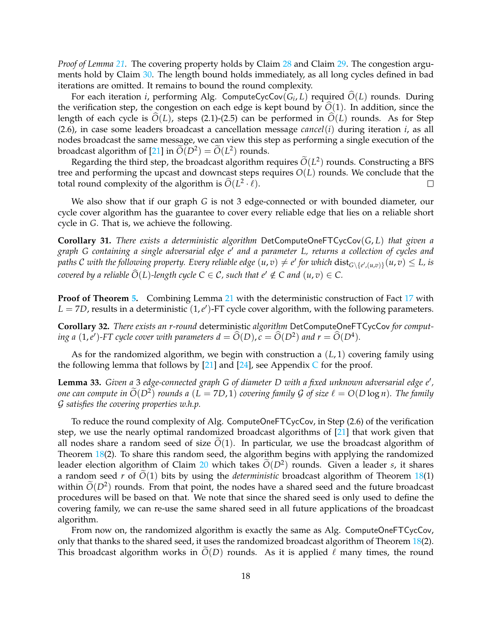*Proof of Lemma [21.](#page-10-1)* The covering property holds by Claim [28](#page-16-0) and Claim [29.](#page-16-1) The congestion argu-ments hold by Claim [30.](#page-16-2) The length bound holds immediately, as all long cycles defined in bad iterations are omitted. It remains to bound the round complexity.

For each iteration *i*, performing Alg. ComputeCycCov( $G_i$ , *L*) required  $\hat{O}(L)$  rounds. During the verification step, the congestion on each edge is kept bound by  $\hat{O}(1)$ . In addition, since the length of each cycle is  $O(L)$ , steps (2.1)-(2.5) can be performed in  $O(L)$  rounds. As for Step (2.6), in case some leaders broadcast a cancellation message *cancel*(*i*) during iteration *i*, as all nodes broadcast the same message, we can view this step as performing a single execution of the broadcast algorithm of [\[21\]](#page-28-9) in  $\tilde{O}(D^2) = \tilde{O}(L^2)$  rounds.

Regarding the third step, the broadcast algorithm requires  $\tilde{O}(L^2)$  rounds. Constructing a BFS tree and performing the upcast and downcast steps requires *O*(*L*) rounds. We conclude that the total round complexity of the algorithm is  $\widehat{O}(L^2 \cdot \ell)$ .  $\Box$ 

We also show that if our graph *G* is not 3 edge-connected or with bounded diameter, our cycle cover algorithm has the guarantee to cover every reliable edge that lies on a reliable short cycle in *G*. That is, we achieve the following.

<span id="page-17-1"></span>**Corollary 31.** *There exists a deterministic algorithm* DetComputeOneFTCycCov(*G*, *L*) *that given a graph G containing a single adversarial edge e*′ *and a parameter L, returns a collection of cycles and*  $p$ aths  $C$  with the following property. Every reliable edge  $(u,v)\neq e'$  for which  ${\rm dist}_{G\setminus\{e', (u,v)\}}(u,v)\leq L$ , is *covered by a reliable*  $\widehat{O}(L)$ *-length cycle*  $C \in \mathcal{C}$ *, such that e'*  $\notin C$  *and*  $(u, v) \in C$ *.* 

**Proof of Theorem [5.](#page-6-3)** Combining Lemma [21](#page-10-1) with the deterministic construction of Fact [17](#page-9-3) with  $L = 7D$ , results in a deterministic  $(1, e')$ -FT cycle cover algorithm, with the following parameters.

**Corollary 32.** *There exists an r-round* deterministic *algorithm* DetComputeOneFTCycCov *for computing a*  $(1, e')$ -FT cycle cover with parameters  $d = \widehat{O}(D)$ ,  $c = \widehat{O}(D^2)$  and  $r = \widehat{O}(D^4)$ .

As for the randomized algorithm, we begin with construction a (*L*, 1) covering family using the following lemma that follows by [\[21\]](#page-28-9) and [\[24\]](#page-28-13), see Appendix  $C$  for the proof.

<span id="page-17-0"></span>**Lemma 33.** *Given a* 3 *edge-connected graph G of diameter D with a fixed unknown adversarial edge e*′ *, one can compute in*  $\widetilde{O}(D^2)$  *rounds a*  $(L = 7D, 1)$  *covering family*  $\mathcal G$  *of size*  $\ell = O(D \log n)$ *. The family* G *satisfies the covering properties w.h.p.*

To reduce the round complexity of Alg. ComputeOneFTCycCov, in Step (2.6) of the verification step, we use the nearly optimal randomized broadcast algorithms of [\[21\]](#page-28-9) that work given that all nodes share a random seed of size  $\tilde{O}(1)$ . In particular, we use the broadcast algorithm of Theorem [18\(](#page-9-2)2). To share this random seed, the algorithm begins with applying the randomized leader election algorithm of Claim [20](#page-9-4) which takes  $\tilde{O}(D^2)$  rounds. Given a leader *s*, it shares a random seed *r* of  $\tilde{O}(1)$  bits by using the *deterministic* broadcast algorithm of Theorem [18\(](#page-9-2)1) within  $\tilde{O}(D^2)$  rounds. From that point, the nodes have a shared seed and the future broadcast procedures will be based on that. We note that since the shared seed is only used to define the covering family, we can re-use the same shared seed in all future applications of the broadcast algorithm.

From now on, the randomized algorithm is exactly the same as Alg. ComputeOneFTCycCov, only that thanks to the shared seed, it uses the randomized broadcast algorithm of Theorem [18\(](#page-9-2)2). This broadcast algorithm works in  $O(D)$  rounds. As it is applied  $\ell$  many times, the round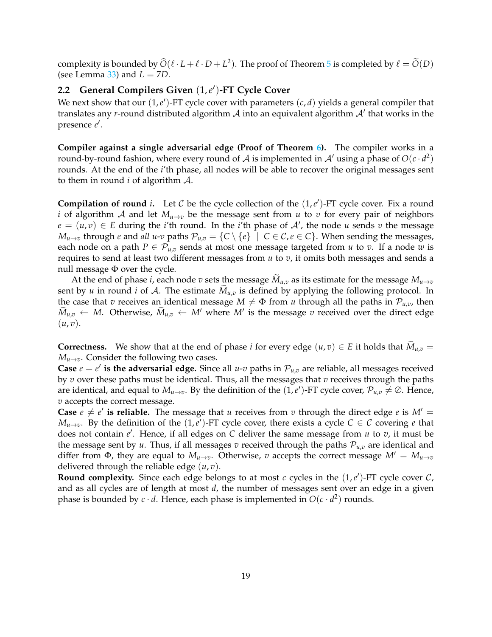<span id="page-18-0"></span>complexity is bounded by  $\widehat{O}(\ell \cdot L + \ell \cdot D + L^2)$ . The proof of Theorem [5](#page-6-3) is completed by  $\ell = \widehat{O}(D)$ (see Lemma  $33$ ) and  $L = 7D$ .

# **2.2 General Compilers Given** (1,*e* ′ )**-FT Cycle Cover**

We next show that our  $(1, e')$ -FT cycle cover with parameters  $(c, d)$  yields a general compiler that translates any *r*-round distributed algorithm A into an equivalent algorithm A' that works in the presence *e* ′ .

**Compiler against a single adversarial edge (Proof of Theorem [6\)](#page-6-4).** The compiler works in a round-by-round fashion, where every round of A is implemented in A' using a phase of  $O(c \cdot d^2)$ rounds. At the end of the *i*'th phase, all nodes will be able to recover the original messages sent to them in round *i* of algorithm A.

**Compilation of round** *i*. Let  $C$  be the cycle collection of the  $(1, e')$ -FT cycle cover. Fix a round *i* of algorithm A and let  $M_{u\to v}$  be the message sent from u to v for every pair of neighbors  $e = (u, v) \in E$  during the *i*'th round. In the *i*'th phase of A', the node *u* sends *v* the message *M*<sub>*u*→*v*</sub> through *e* and *all u-v* paths  $\mathcal{P}_{u,v} = \{C \setminus \{e\} \mid C \in \mathcal{C}, e \in C\}$ . When sending the messages, each node on a path  $P \in \mathcal{P}_{u,v}$  sends at most one message targeted from *u* to *v*. If a node *w* is requires to send at least two different messages from *u* to *v*, it omits both messages and sends a null message Φ over the cycle.

At the end of phase *i*, each node *v* sets the message  $\tilde{M}_{u,v}$  as its estimate for the message  $M_{u\rightarrow v}$ sent by *u* in round *i* of A. The estimate  $M_{u,v}$  is defined by applying the following protocol. In the case that *v* receives an identical message  $M \neq \Phi$  from *u* through all the paths in  $\mathcal{P}_{u,v}$ , then  $\widetilde{M}_{u,v} \leftarrow M$ . Otherwise,  $\widetilde{M}_{u,v} \leftarrow M'$  where  $M'$  is the message  $v$  received over the direct edge  $(u, v)$ .

**Correctness.** We show that at the end of phase *i* for every edge  $(u, v) \in E$  it holds that  $M_{u,v} =$  $M_{u\rightarrow v}$ . Consider the following two cases.

**Case**  $e = e'$  is the adversarial edge. Since all *u-v* paths in  $\mathcal{P}_{u,v}$  are reliable, all messages received by *v* over these paths must be identical. Thus, all the messages that *v* receives through the paths are identical, and equal to  $M_{u\to v}$ . By the definition of the  $(1,e')$ -FT cycle cover,  $\mathcal{P}_{u,v}\neq\emptyset$ . Hence, *v* accepts the correct message.

**Case**  $e \neq e'$  is reliable. The message that *u* receives from *v* through the direct edge *e* is  $M' =$  $M_{u\to v}$ . By the definition of the  $(1,e')$ -FT cycle cover, there exists a cycle  $C \in \mathcal{C}$  covering *e* that does not contain *e* ′ . Hence, if all edges on *C* deliver the same message from *u* to *v*, it must be the message sent by *u*. Thus, if all messages *v* received through the paths  $P_{u,v}$  are identical and differ from  $\Phi$ , they are equal to  $M_{u\to v}$ . Otherwise, *v* accepts the correct message  $M' = M_{u\to v}$ delivered through the reliable edge (*u*, *v*).

<span id="page-18-1"></span>**Round complexity.** Since each edge belongs to at most  $c$  cycles in the  $(1, e')$ -FT cycle cover  $C$ , and as all cycles are of length at most *d*, the number of messages sent over an edge in a given phase is bounded by  $c \cdot d$ . Hence, each phase is implemented in  $O(c \cdot d^2)$  rounds.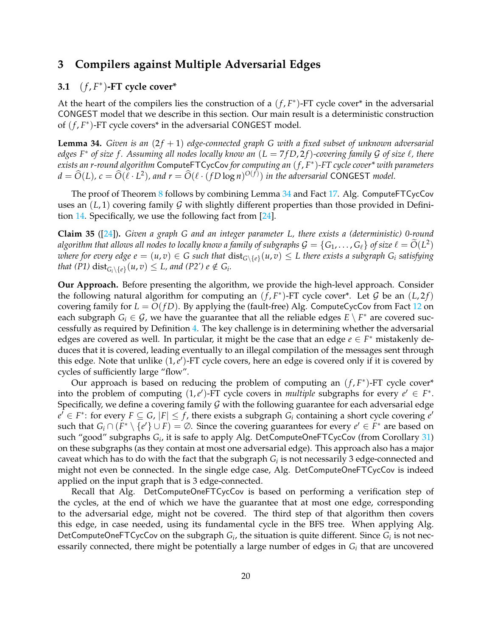# **3 Compilers against Multiple Adversarial Edges**

# <span id="page-19-0"></span>**3.1** (*f* , *F* ∗ )**-FT cycle cover\***

At the heart of the compilers lies the construction of a  $(f, F^*)$ -FT cycle cover\* in the adversarial CONGEST model that we describe in this section. Our main result is a deterministic construction of  $(f, F^*)$ -FT cycle covers<sup>\*</sup> in the adversarial CONGEST model.

<span id="page-19-1"></span>**Lemma 34.** *Given is an*  $(2f + 1)$  *edge-connected graph G with a fixed subset of unknown adversarial edges F*<sup>∗</sup> *of size f . Assuming all nodes locally know an* (*L* = 7 *f D*, 2 *f*)*-covering family* G *of size* ℓ*, there exists an r-round algorithm* ComputeFTCycCov *for computing an* (*f* , *F* ∗ )*-FT cycle cover\* with parameters*  $d = \widehat{O}(L)$ ,  $c = \widehat{O}(\ell \cdot L^2)$ , and  $r = \widehat{O}(\ell \cdot (fD \log n)^{O(f)})$  *in the adversarial* CONGEST *model*.

The proof of Theorem [8](#page-7-2) follows by combining Lemma [34](#page-19-1) and Fact [17.](#page-9-3) Alg. ComputeFTCycCov uses an  $(L, 1)$  covering family G with slightly different properties than those provided in Definition [14.](#page-8-5) Specifically, we use the following fact from [\[24\]](#page-28-13).

<span id="page-19-2"></span>**Claim 35** ([\[24\]](#page-28-13))**.** *Given a graph G and an integer parameter L, there exists a (deterministic) 0-round algorithm that allows all nodes to locally know a family of subgraphs*  $\mathcal{G} = \{G_1, \ldots, G_\ell\}$  of size  $\ell = \widetilde{O}(L^2)$  $\omega$ here for every edge  $e = (u, v) \in G$  such that  $\text{dist}_{G \setminus \{e\}}(u, v) \leq L$  there exists a subgraph  $G_i$  satisfying *that* (P1)  $dist_{G_i \setminus \{e\}}(u, v) \le L$ , and (P2')  $e \notin G_i$ .

**Our Approach.** Before presenting the algorithm, we provide the high-level approach. Consider the following natural algorithm for computing an  $(f, F^*)$ -FT cycle cover<sup>\*</sup>. Let G be an  $(L, 2f)$ covering family for  $L = O(fD)$ . By applying the (fault-free) Alg. ComputeCycCov from Fact [12](#page-8-2) on each subgraph  $G_i \in \mathcal{G}$ , we have the guarantee that all the reliable edges  $E \setminus F^*$  are covered successfully as required by Definition [4.](#page-5-3) The key challenge is in determining whether the adversarial edges are covered as well. In particular, it might be the case that an edge  $e \in F^*$  mistakenly deduces that it is covered, leading eventually to an illegal compilation of the messages sent through this edge. Note that unlike (1,*e'*)-FT cycle covers, here an edge is covered only if it is covered by cycles of sufficiently large "flow".

Our approach is based on reducing the problem of computing an  $(f, F^*)$ -FT cycle cover\* into the problem of computing  $(1,e')$ -FT cycle covers in *multiple* subgraphs for every  $e' \in F^*$ . Specifically, we define a covering family  $\mathcal G$  with the following guarantee for each adversarial edge  $e^{\overline{f}} \in F^*$ : for every  $F \subseteq G$ ,  $|F| \leq f$ , there exists a subgraph  $G_i$  containing a short cycle covering  $e^{\overline{f}}$ such that  $G_i \cap (F^* \setminus \{e'\} \cup F) = \emptyset$ . Since the covering guarantees for every  $e' \in F^*$  are based on such "good" subgraphs *G<sup>i</sup>* , it is safe to apply Alg. DetComputeOneFTCycCov (from Corollary [31\)](#page-17-1) on these subgraphs (as they contain at most one adversarial edge). This approach also has a major caveat which has to do with the fact that the subgraph  $G_i$  is not necessarily 3 edge-connected and might not even be connected. In the single edge case, Alg. DetComputeOneFTCycCov is indeed applied on the input graph that is 3 edge-connected.

Recall that Alg. DetComputeOneFTCycCov is based on performing a verification step of the cycles, at the end of which we have the guarantee that at most one edge, corresponding to the adversarial edge, might not be covered. The third step of that algorithm then covers this edge, in case needed, using its fundamental cycle in the BFS tree. When applying Alg. DetComputeOneFTCycCov on the subgraph  $G_i$ , the situation is quite different. Since  $G_i$  is not necessarily connected, there might be potentially a large number of edges in  $G_i$  that are uncovered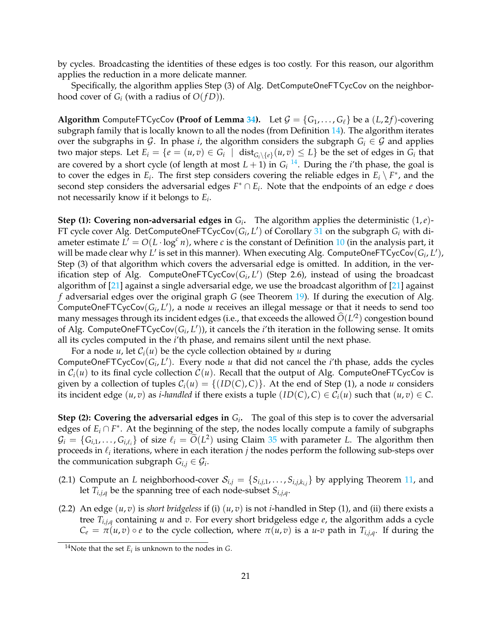by cycles. Broadcasting the identities of these edges is too costly. For this reason, our algorithm applies the reduction in a more delicate manner.

Specifically, the algorithm applies Step (3) of Alg. DetComputeOneFTCycCov on the neighborhood cover of  $G_i$  (with a radius of  $O(fD)$ ).

**Algorithm** ComputeFTCycCov **(Proof of Lemma [34\)](#page-19-1)**. Let  $\mathcal{G} = \{G_1, \ldots, G_\ell\}$  be a  $(L, 2f)$ -covering subgraph family that is locally known to all the nodes (from Definition [14\)](#page-8-5). The algorithm iterates over the subgraphs in G. In phase *i*, the algorithm considers the subgraph  $G_i \in \mathcal{G}$  and applies two major steps. Let  $E_i = \{e = (u,v) \in G_i \mid \text{dist}_{G_i \setminus \{e\}}(u,v) \leq L\}$  be the set of edges in  $G_i$  that are covered by a short cycle (of length at most  $L + 1$ ) in  $G_i$  <sup>[14](#page-20-0)</sup>. During the *i*'th phase, the goal is to cover the edges in  $E_i$ . The first step considers covering the reliable edges in  $E_i \setminus F^*$ , and the second step considers the adversarial edges  $F^* \cap E_i$ . Note that the endpoints of an edge  $e$  does not necessarily know if it belongs to *E<sup>i</sup>* .

**Step (1): Covering non-adversarial edges in**  $G_i$ . The algorithm applies the deterministic  $(1,e)$ -FT cycle cover Alg. DetComputeOneFTCycCov $(G_i, L')$  of Corollary [31](#page-17-1) on the subgraph  $G_i$  with diameter estimate  $L' = O(L \cdot \log^c n)$ , where *c* is the constant of Definition [10](#page-8-6) (in the analysis part, it will be made clear why  $L'$  is set in this manner). When executing Alg. ComputeOneFTCycCov $(G_i, L'),$ Step (3) of that algorithm which covers the adversarial edge is omitted. In addition, in the verification step of Alg. ComputeOneFTCycCov(G<sub>i</sub>, L') (Step 2.6), instead of using the broadcast algorithm of [\[21\]](#page-28-9) against a single adversarial edge, we use the broadcast algorithm of [\[21\]](#page-28-9) against *f* adversarial edges over the original graph *G* (see Theorem [19\)](#page-9-5). If during the execution of Alg. ComputeOneFTCycCov $(G_i, L')$ , a node *u* receives an illegal message or that it needs to send too many messages through its incident edges (i.e., that exceeds the allowed  $\hat{O}(L^2)$  congestion bound of Alg. ComputeOneFTCycCov( $G_i, L'$ )), it cancels the *i*'th iteration in the following sense. It omits all its cycles computed in the *i*'th phase, and remains silent until the next phase.

For a node  $u$ , let  $C_i(u)$  be the cycle collection obtained by  $u$  during ComputeOneFTCycCov $(G_i, L')$ . Every node *u* that did not cancel the *i*'th phase, adds the cycles in  $C_i(u)$  to its final cycle collection  $C(u)$ . Recall that the output of Alg. ComputeOneFTCycCov is given by a collection of tuples  $C_i(u) = \{(ID(C), C)\}\)$ . At the end of Step (1), a node *u* considers its incident edge  $(u, v)$  as *i*-*handled* if there exists a tuple  $(ID(C), C) \in C_i(u)$  such that  $(u, v) \in C$ .

**Step (2): Covering the adversarial edges in**  $G_i$ . The goal of this step is to cover the adversarial edges of  $E_i \cap F^*$ . At the beginning of the step, the nodes locally compute a family of subgraphs  $G_i = \{G_{i,1}, \ldots, G_{i,\ell_i}\}\$  of size  $\ell_i = \tilde{O}(L^2)$  using Claim [35](#page-19-2) with parameter *L*. The algorithm then proceeds in  $\ell_i$  iterations, where in each iteration  $j$  the nodes perform the following sub-steps over the communication subgraph  $G_{i,j} \in \mathcal{G}_i$ .

- (2.1) Compute an *L* neighborhood-cover  $\mathcal{S}_{i,j} = \{S_{i,j,1}, \ldots, S_{i,j,k_{i,j}}\}$  by applying Theorem [11,](#page-8-1) and let *Ti*,*j*,*<sup>q</sup>* be the spanning tree of each node-subset *Si*,*j*,*<sup>q</sup>* .
- (2.2) An edge  $(u, v)$  is *short bridgeless* if (i)  $(u, v)$  is not *i*-handled in Step (1), and (ii) there exists a tree *Ti*,*j*,*<sup>q</sup>* containing *u* and *v*. For every short bridgeless edge *e*, the algorithm adds a cycle  $C_e = \pi(u,v) \circ e$  to the cycle collection, where  $\pi(u,v)$  is a *u*-*v* path in  $T_{i,j,q}$ . If during the

<span id="page-20-0"></span><sup>&</sup>lt;sup>14</sup>Note that the set  $E_i$  is unknown to the nodes in *G*.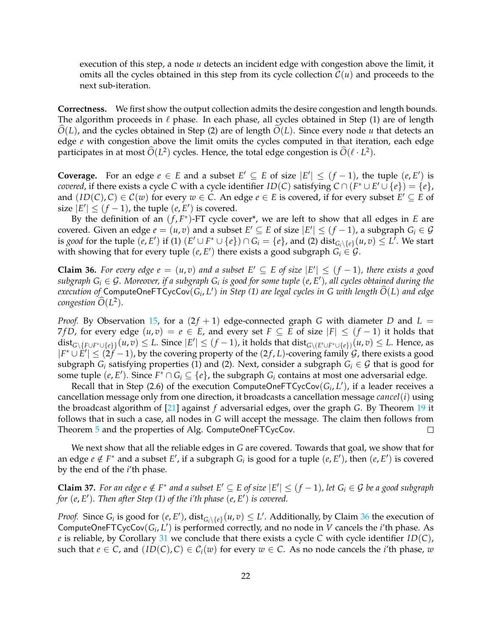execution of this step, a node *u* detects an incident edge with congestion above the limit, it omits all the cycles obtained in this step from its cycle collection  $\mathcal{C}(u)$  and proceeds to the next sub-iteration.

**Correctness.** We first show the output collection admits the desire congestion and length bounds. The algorithm proceeds in  $\ell$  phase. In each phase, all cycles obtained in Step (1) are of length  $O(L)$ , and the cycles obtained in Step (2) are of length  $O(L)$ . Since every node *u* that detects an edge *e* with congestion above the limit omits the cycles computed in that iteration, each edge participates in at most  $\hat{O}(L^2)$  cycles. Hence, the total edge congestion is  $\hat{O}(\ell \cdot L^2)$ .

**Coverage.** For an edge  $e \in E$  and a subset  $E' \subseteq E$  of size  $|E'| \leq (f-1)$ , the tuple  $(e, E')$  is *covered,* if there exists a cycle *C* with a cycle identifier *ID*(*C*) satisfying  $C \cap (F^* \cup E' \cup \{e\}) = \{e\}$ , and  $(ID(C), C) \in C(w)$  for every  $w \in C$ . An edge  $e \in E$  is covered, if for every subset  $E' \subseteq E$  of size  $|E'| \le (f-1)$ , the tuple  $(e, E')$  is covered.

By the definition of an  $(f, F^*)$ -FT cycle cover<sup>\*</sup>, we are left to show that all edges in *E* are covered. Given an edge  $e = (u, v)$  and a subset  $E' \subseteq E$  of size  $|E'| \leq (f - 1)$ , a subgraph  $G_i \in \mathcal{G}$ is *good* for the tuple  $(e, E')$  if (1)  $(E' \cup F^* \cup \{e\}) \cap G_i = \{e\}$ , and (2)  $dist_{G_i \setminus \{e\}}(u, v) \leq L'$ . We start with showing that for every tuple  $(e, E')$  there exists a good subgraph  $G_i \in \mathcal{G}$ .

<span id="page-21-0"></span>**Claim 36.** For every edge  $e = (u, v)$  and a subset  $E' ⊆ E$  of size  $|E'| ≤ (f - 1)$ , there exists a good  $s$ ubgraph  $G_i \in \mathcal{G}$ . Moreover, if a subgraph  $G_i$  is good for some tuple  $(e, E')$ , all cycles obtained during the  $e$ *xecution of* ComputeOneFTCycCov $(G_i, L')$  in Step (1) are legal cycles in G with length  $\widehat{O}(L)$  and edge  $\omega$ *congestion*  $\widehat{O}(L^2)$ .

*Proof.* By Observation [15,](#page-9-1) for a  $(2f + 1)$  edge-connected graph *G* with diameter *D* and *L* = 7*fD*, for every edge  $(u, v) = e \in E$ , and every set  $F \subseteq E$  of size  $|F| \le (f - 1)$  it holds that  $\text{dist}_{G\setminus\{F\cup F^*\cup\{e\}\}}(u,v)\leq L.$  Since  $|E'|\leq (f-1)$ , it holds that  $\text{dist}_{G\setminus (E'\cup F^*\cup\{e\})}(u,v)\leq L.$  Hence, as  $|F^* \cup E'| \leq (2f - 1)$ , by the covering property of the  $(2f, L)$ -covering family G, there exists a good subgraph  $G_i$  satisfying properties (1) and (2). Next, consider a subgraph  $G_i \in \mathcal{G}$  that is good for some tuple  $(e, E')$ . Since  $F^* \cap G_i \subseteq \{e\}$ , the subgraph  $G_i$  contains at most one adversarial edge.

Recall that in Step (2.6) of the execution ComputeOneFTCycCov $(G_i, L')$ , if a leader receives a cancellation message only from one direction, it broadcasts a cancellation message *cancel*(*i*) using the broadcast algorithm of [\[21\]](#page-28-9) against *f* adversarial edges, over the graph *G*. By Theorem [19](#page-9-5) it follows that in such a case, all nodes in *G* will accept the message. The claim then follows from Theorem [5](#page-6-3) and the properties of Alg. ComputeOneFTCycCov.  $\Box$ 

We next show that all the reliable edges in *G* are covered. Towards that goal, we show that for an edge  $e \notin F^*$  and a subset  $E'$ , if a subgraph  $G_i$  is good for a tuple  $(e, E')$ , then  $(e, E')$  is covered by the end of the *i*'th phase.

<span id="page-21-1"></span>**Claim 37.** For an edge  $e \notin F^*$  and a subset  $E' \subseteq E$  of size  $|E'| \leq (f-1)$ , let  $G_i \in \mathcal{G}$  be a good subgraph *for* (*e*, *E* ′ )*. Then after Step (1) of the i'th phase* (*e*, *E* ′ ) *is covered.*

*Proof.* Since  $G_i$  is good for  $(e, E')$ ,  $dist_{G_i \setminus \{e\}}(u, v) \leq L'$ . Additionally, by Claim [36](#page-21-0) the execution of ComputeOneFTCycCov $(G_i, L')$  is performed correctly, and no node in *V* cancels the *i*'th phase. As *e* is reliable, by Corollary [31](#page-17-1) we conclude that there exists a cycle *C* with cycle identifier *ID*(*C*), such that  $e \in C$ , and  $(ID(C), C) \in C_i(w)$  for every  $w \in C$ . As no node cancels the *i*'th phase, *w*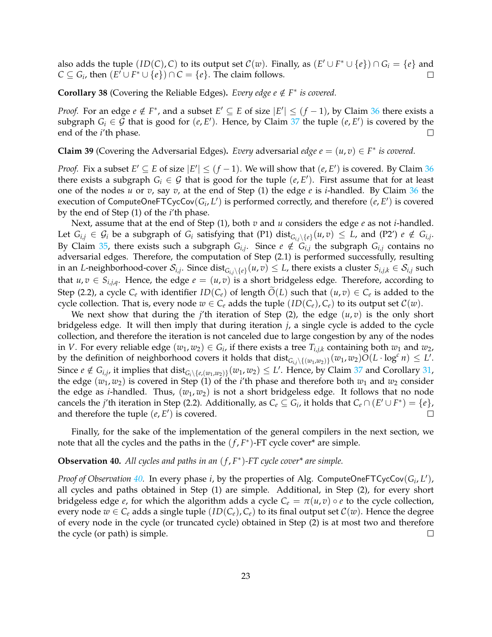also adds the tuple  $(ID(C), C)$  to its output set  $C(w)$ . Finally, as  $(E' \cup F^* \cup \{e\}) \cap G_i = \{e\}$  and *C* ⊆ *G*<sub>*i*</sub>, then  $(E' \cup F^* \cup \{e\}) \cap C = \{e\}$ . The claim follows.  $\Box$ 

**Corollary 38** (Covering the Reliable Edges). *Every edge e*  $\notin$  *F*<sup>\*</sup> *is covered.* 

*Proof.* For an edge  $e \notin F^*$ , and a subset  $E' \subseteq E$  of size  $|E'| \leq (f-1)$ , by Claim [36](#page-21-0) there exists a subgraph  $G_i \in \mathcal{G}$  that is good for  $(e, E')$ . Hence, by Claim [37](#page-21-1) the tuple  $(e, E')$  is covered by the end of the *i*'th phase.  $\Box$ 

**Claim 39** (Covering the Adversarial Edges). *Every* adversarial *edge*  $e = (u, v) \in F^*$  *is covered.* 

*Proof.* Fix a subset  $E' \subseteq E$  of size  $|E'| \leq (f-1)$ . We will show that  $(e, E')$  is covered. By Claim [36](#page-21-0) there exists a subgraph  $G_i \in \mathcal{G}$  that is good for the tuple  $(e, E')$ . First assume that for at least one of the nodes *u* or *v*, say *v*, at the end of Step (1) the edge *e* is *i*-handled. By Claim [36](#page-21-0) the execution of ComputeOneFTCycCov $(G_i, L')$  is performed correctly, and therefore  $(e, E')$  is covered by the end of Step (1) of the *i*'th phase.

Next, assume that at the end of Step (1), both *v* and *u* considers the edge *e* as not *i*-handled. Let  $G_{i,j} \in \mathcal{G}_i$  be a subgraph of  $G_i$  satisfying that (P1)  $dist_{G_{i,j}\setminus\{e\}}(u,v) \leq L$ , and (P2')  $e \notin G_{i,j}$ . By Claim [35,](#page-19-2) there exists such a subgraph  $G_{i,j}$ . Since  $e \notin G_{i,j}$  the subgraph  $G_{i,j}$  contains no adversarial edges. Therefore, the computation of Step (2.1) is performed successfully, resulting in an *L*-neighborhood-cover  $\mathcal{S}_{i,j}.$  Since  $\mathrm{dist}_{G_{i,j}\setminus\{e\}}(u,v)\leq L$ , there exists a cluster  $S_{i,j,k}\in\mathcal{S}_{i,j}$  such that  $u, v \in S_{i,j,q}$ . Hence, the edge  $e = (u, v)$  is a short bridgeless edge. Therefore, according to Step (2.2), a cycle  $C_e$  with identifier  $ID(C_e)$  of length  $O(L)$  such that  $(u, v) \in C_e$  is added to the cycle collection. That is, every node  $w \in C_e$  adds the tuple  $(ID(C_e), C_e)$  to its output set  $C(w)$ .

We next show that during the *j*'th iteration of Step (2), the edge  $(u, v)$  is the only short bridgeless edge. It will then imply that during iteration *j*, a single cycle is added to the cycle collection, and therefore the iteration is not canceled due to large congestion by any of the nodes in *V*. For every reliable edge  $(w_1, w_2) \in G_i$ , if there exists a tree  $T_{i,j,k}$  containing both  $w_1$  and  $w_2$ , by the definition of neighborhood covers it holds that  $dist_{G_{i,j}\setminus\{(w_1,w_2)\}}(w_1,w_2)O(L \cdot \log^c n) \leq L'.$ Since  $e \notin G_{i,j}$ , it implies that  $dist_{G_i \setminus \{e,(w_1,w_2)\}}(w_1,w_2) \leq L'$ . Hence, by Claim [37](#page-21-1) and Corollary [31,](#page-17-1) the edge  $(w_1, w_2)$  is covered in Step (1) of the *i*'th phase and therefore both  $w_1$  and  $w_2$  consider the edge as *i*-handled. Thus,  $(w_1, w_2)$  is not a short bridgeless edge. It follows that no node cancels the *j*'th iteration in Step (2.2). Additionally, as  $C_e \subseteq G_i$ , it holds that  $C_e \cap (E' \cup F^*) = \{e\}$ , and therefore the tuple  $(e, E')$  is covered. П

Finally, for the sake of the implementation of the general compilers in the next section, we note that all the cycles and the paths in the  $(f, F^*)$ -FT cycle cover<sup>\*</sup> are simple.

### <span id="page-22-0"></span>**Observation 40.** *All cycles and paths in an* (*f* , *F* ∗ )*-FT cycle cover\* are simple.*

*Proof of Observation* [40.](#page-22-0) In every phase *i*, by the properties of Alg. ComputeOneFTCycCov(G<sub>i</sub>, L'), all cycles and paths obtained in Step (1) are simple. Additional, in Step (2), for every short bridgeless edge *e*, for which the algorithm adds a cycle  $C_e = \pi(u,v) \circ e$  to the cycle collection, every node  $w \in C_e$  adds a single tuple  $(ID(C_e), C_e)$  to its final output set  $C(w)$ . Hence the degree of every node in the cycle (or truncated cycle) obtained in Step (2) is at most two and therefore the cycle (or path) is simple.  $\Box$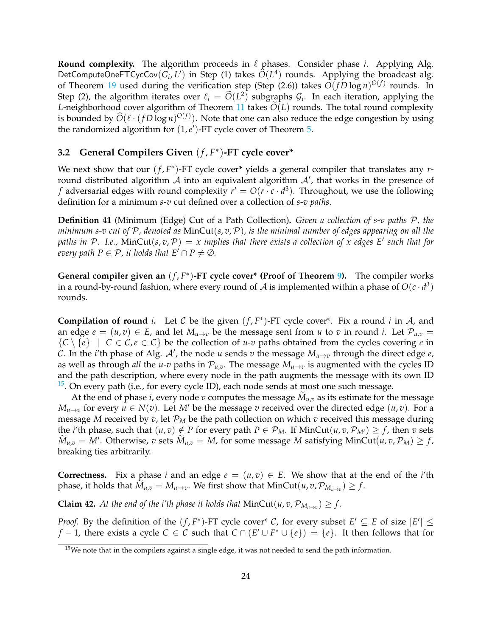**Round complexity.** The algorithm proceeds in  $\ell$  phases. Consider phase *i*. Applying Alg. DetComputeOneFTCycCov( $G_i, L'$ ) in Step (1) takes  $\widehat{O}(L^4)$  rounds. Applying the broadcast alg. of Theorem [19](#page-9-5) used during the verification step (Step (2.6)) takes  $O(fD\log n)^{O(f)}$  rounds. In Step (2), the algorithm iterates over  $\ell_i = \widetilde{O}(L^2)$  subgraphs  $\mathcal{G}_i$ . In each iteration, applying the *L*-neighborhood cover algorithm of Theorem [11](#page-8-1) takes  $\tilde{O}(L)$  rounds. The total round complexity is bounded by  $\widehat{O}(\ell \cdot (fD \log n)^{O(f)})$ . Note that one can also reduce the edge congestion by using the randomized algorithm for  $(1, e<sup>'</sup>)$ -FT cycle cover of Theorem [5.](#page-6-3)

# <span id="page-23-0"></span>**3.2 General Compilers Given** (*f* , *F* ∗ )**-FT cycle cover\***

We next show that our  $(f, F^*)$ -FT cycle cover<sup>\*</sup> yields a general compiler that translates any *r*round distributed algorithm  $\mathcal A$  into an equivalent algorithm  $\mathcal A'$ , that works in the presence of *f* adversarial edges with round complexity  $r' = O(r \cdot c \cdot d^3)$ . Throughout, we use the following definition for a minimum *s*-*v* cut defined over a collection of *s*-*v paths*.

**Definition 41** (Minimum (Edge) Cut of a Path Collection)**.** *Given a collection of s-v paths* P*, the minimum s-v cut of* P*, denoted as* MinCut(*s*, *v*,P)*, is the minimal number of edges appearing on all the paths in* P*. I.e.,* MinCut(*s*, *v*,P) = *x implies that there exists a collection of x edges E*′ *such that for every path*  $P \in \mathcal{P}$ , *it holds that*  $E' \cap P \neq \emptyset$ *.* 

**General compiler given an** (*f* , *F* ∗ )**-FT cycle cover\* (Proof of Theorem [9\)](#page-7-3).** The compiler works in a round-by-round fashion, where every round of  $A$  is implemented within a phase of  $O(c \cdot d^3)$ rounds.

**Compilation of round** *i*. Let C be the given  $(f, F^*)$ -FT cycle cover<sup>\*</sup>. Fix a round *i* in A, and an edge  $e = (u, v) \in E$ , and let  $M_{u \to v}$  be the message sent from *u* to *v* in round *i*. Let  $\mathcal{P}_{u,v}$  ${C \setminus \{e\}}$  | *C*  $\in C$ ,  $e \in C}$ } be the collection of *u-v* paths obtained from the cycles covering *e* in C. In the *i*'th phase of Alg.  $A'$ , the node *u* sends *v* the message  $M_{u\to v}$  through the direct edge *e*, as well as through *all* the *u*-*v* paths in  $\mathcal{P}_{u,v}$ . The message  $M_{u\to v}$  is augmented with the cycles ID and the path description, where every node in the path augments the message with its own ID  $15$ . On every path (i.e., for every cycle ID), each node sends at most one such message.

At the end of phase *i*, every node *v* computes the message  $M_{u,v}$  as its estimate for the message *M*<sub>*u*→*v*</sub> for every *u* ∈ *N*(*v*). Let *M*<sup>*'*</sup> be the message *v* received over the directed edge (*u*, *v*). For a message *M* received by  $v$ , let  $\mathcal{P}_M$  be the path collection on which  $v$  received this message during the *i*'th phase, such that  $(u, v) \notin P$  for every path  $P \in \mathcal{P}_M$ . If MinCut $(u, v, \mathcal{P}_{M'}) \geq f$ , then *v* sets  $\widetilde{M}_{u,v} = M'$ . Otherwise, *v* sets  $\widetilde{M}_{u,v} = M$ , for some message *M* satisfying  $MinCut(u, v, \mathcal{P}_M) \ge f$ , breaking ties arbitrarily.

**Correctness.** Fix a phase *i* and an edge  $e = (u, v) \in E$ . We show that at the end of the *i*'th phase, it holds that  $M_{u,v} = M_{u \to v}$ . We first show that  $MinCut(u,v,\mathcal{P}_{M_{u \to v}}) \geq f$ .

<span id="page-23-2"></span>**Claim 42.** At the end of the i'th phase it holds that  $MinCut(u, v, \mathcal{P}_{M_{u \to v}}) \geq f$ .

*Proof.* By the definition of the  $(f, F^*)$ -FT cycle cover<sup>\*</sup> C, for every subset  $E' \subseteq E$  of size  $|E'| \le$ *f* − 1, there exists a cycle  $C \in C$  such that  $C \cap (E' \cup F^* \cup \{e\}) = \{e\}$ . It then follows that for

<span id="page-23-1"></span><sup>&</sup>lt;sup>15</sup>We note that in the compilers against a single edge, it was not needed to send the path information.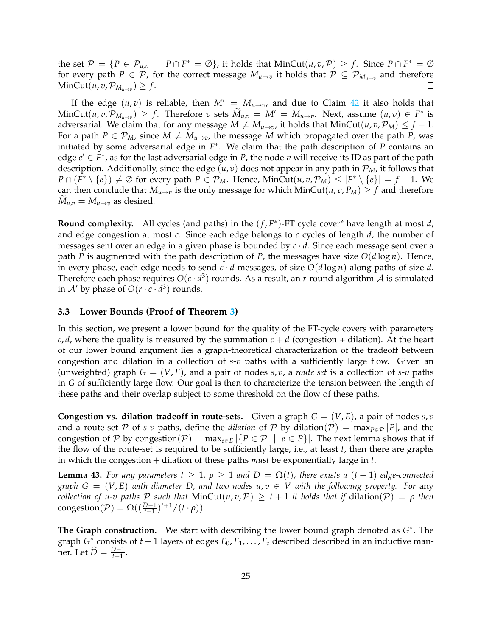the set  $\mathcal{P} = \{P \in \mathcal{P}_{u,v} \mid P \cap F^* = \emptyset\}$ , it holds that  $MinCut(u,v,\mathcal{P}) \geq f$ . Since  $P \cap F^* = \emptyset$ for every path  $P \in \mathcal{P}$ , for the correct message  $M_{u\to v}$  it holds that  $\mathcal{P} \subseteq \mathcal{P}_{M_{u\to v}}$  and therefore  $MinCut(u, v, \mathcal{P}_{M_{u\rightarrow v}}) \geq f.$ П

If the edge  $(u, v)$  is reliable, then  $M' = M_{u \to v}$ , and due to Claim [42](#page-23-2) it also holds that  $\text{MinCut}(u, v, \mathcal{P}_{M_u \to v}) \geq f$ . Therefore *v* sets  $\widetilde{M}_{u,v} = M' = M_{u \to v}$ . Next, assume  $(u, v) \in F^*$  is adversarial. We claim that for any message  $M \neq M_{u \to v}$ , it holds that MinCut $(u, v, P_M) \leq f - 1$ . For a path  $P \in \mathcal{P}_M$ , since  $M \neq M_{u \to v}$ , the message M which propagated over the path P, was initiated by some adversarial edge in *F* ∗ . We claim that the path description of *P* contains an edge  $e' \in F^*$ , as for the last adversarial edge in *P*, the node *v* will receive its ID as part of the path description. Additionally, since the edge  $(u, v)$  does not appear in any path in  $\mathcal{P}_M$ , it follows that *P* ∩  $(F^* \setminus \{e\}) \neq \emptyset$  for every path  $P \in \mathcal{P}_M$ . Hence, MinCut $(u, v, \mathcal{P}_M)$  ≤  $|F^* \setminus \{e\}| = f - 1$ . We can then conclude that  $M_{u\to v}$  is the only message for which MinCut(*u*, *v*,  $P_M$ )  $\geq f$  and therefore  $M_{u,v} = M_{u \to v}$  as desired.

**Round complexity.** All cycles (and paths) in the  $(f, F^*)$ -FT cycle cover\* have length at most *d*, and edge congestion at most *c*. Since each edge belongs to *c* cycles of length *d*, the number of messages sent over an edge in a given phase is bounded by *c* · *d*. Since each message sent over a path *P* is augmented with the path description of *P*, the messages have size  $O(d \log n)$ . Hence, in every phase, each edge needs to send  $c \cdot d$  messages, of size  $O(d \log n)$  along paths of size *d*. Therefore each phase requires  $O(c \cdot d^3)$  rounds. As a result, an *r*-round algorithm  ${\cal A}$  is simulated in  $A'$  by phase of  $O(r \cdot c \cdot d^3)$  rounds.

#### <span id="page-24-0"></span>**3.3 Lower Bounds (Proof of Theorem [3\)](#page-5-0)**

In this section, we present a lower bound for the quality of the FT-cycle covers with parameters *c*, *d*, where the quality is measured by the summation  $c + d$  (congestion + dilation). At the heart of our lower bound argument lies a graph-theoretical characterization of the tradeoff between congestion and dilation in a collection of *s*-*v* paths with a sufficiently large flow. Given an (unweighted) graph  $G = (V, E)$ , and a pair of nodes *s, v*, a *route set* is a collection of *s-v* paths in *G* of sufficiently large flow. Our goal is then to characterize the tension between the length of these paths and their overlap subject to some threshold on the flow of these paths.

**Congestion vs. dilation tradeoff in route-sets.** Given a graph  $G = (V, E)$ , a pair of nodes  $s, v$ and a route-set P of *s*-*v* paths, define the *dilation* of P by dilation(P) = max $_{P \in \mathcal{P}} |P|$ , and the congestion of P by congestion(P) =  $\max_{e \in E} |\{P \in \mathcal{P} \mid e \in P\}|$ . The next lemma shows that if the flow of the route-set is required to be sufficiently large, i.e., at least *t*, then there are graphs in which the congestion + dilation of these paths *must* be exponentially large in *t*.

<span id="page-24-1"></span>**Lemma 43.** For any parameters  $t \geq 1$ ,  $\rho \geq 1$  and  $D = \Omega(t)$ , there exists a  $(t + 1)$  edge-connected *graph*  $G = (V, E)$  *with diameter D, and two nodes*  $u, v \in V$  *with the following property. For any collection of u-v paths* P *such that* MinCut $(u, v, P) \ge t + 1$  *it holds that if dilation* $(P) = \rho$  *then* congestion( $P$ ) =  $\Omega((\frac{D-1}{t+1})^{t+1}/(t \cdot \rho)).$ 

**The Graph construction.** We start with describing the lower bound graph denoted as *G* ∗ . The graph  $G^*$  consists of  $t + 1$  layers of edges  $E_0, E_1, \ldots, E_t$  described described in an inductive manner. Let  $\widehat{D} = \frac{D-1}{t+1}$ .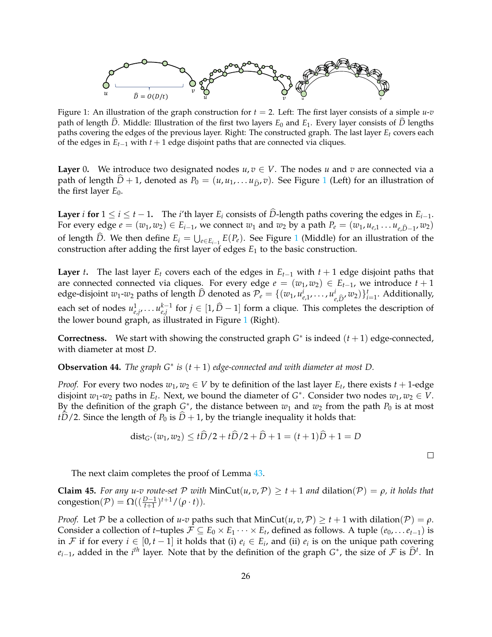<span id="page-25-0"></span>

Figure 1: An illustration of the graph construction for  $t = 2$ . Left: The first layer consists of a simple  $u$ -*v* path of length  $\hat{D}$ . Middle: Illustration of the first two layers  $E_0$  and  $E_1$ . Every layer consists of  $\hat{D}$  lengths paths covering the edges of the previous layer. Right: The constructed graph. The last layer *E<sup>t</sup>* covers each of the edges in *Et*−<sup>1</sup> with *t* + 1 edge disjoint paths that are connected via cliques.

**Layer** 0. We introduce two designated nodes  $u, v \in V$ . The nodes *u* and *v* are connected via a path of length  $D + 1$  $D + 1$ , denoted as  $P_0 = (u, u_1, \dots, u_{\hat{D}}, v)$ . See Figure 1 (Left) for an illustration of the first layer  $E_0$ .

**Layer** *i* **for**  $1 ≤ i ≤ t − 1$ . The *i*'th layer  $E_i$  consists of *D*-length paths covering the edges in  $E_{i-1}$ . For every edge  $e = (w_1, w_2) \in E_{i-1}$ , we connect  $w_1$  and  $w_2$  by a path  $P_e = (w_1, u_{e,1} \dots u_{e,\hat{D}-1}, w_2)$ of length *D*. We then define  $E_i = \bigcup_{e \in E_{i-1}} E(P_e)$  $E_i = \bigcup_{e \in E_{i-1}} E(P_e)$  $E_i = \bigcup_{e \in E_{i-1}} E(P_e)$ . See Figure 1 (Middle) for an illustration of the construction after adding the first layer of edges *E*<sup>1</sup> to the basic construction.

**Layer** *t***.** The last layer  $E_t$  covers each of the edges in  $E_{t-1}$  with  $t+1$  edge disjoint paths that are connected connected via cliques. For every edge  $e = (w_1, w_2) \in E_{t-1}$ , we introduce  $t + 1$ edge-disjoint *<sup>w</sup>*1-*w*<sup>2</sup> paths of length *<sup>D</sup>*<sup>b</sup> denoted as <sup>P</sup>*<sup>e</sup>* <sup>=</sup> {(*w*1, *<sup>u</sup> i <sup>e</sup>*,1, . . . , *u i*  $\{e_i, \hat{D}, w_2\}^t$  *i*=1. Additionally, each set of nodes  $u_{e,j}^1, \ldots u_{e,j}^{k-1}$  $e_{i,j}^{k-1}$  for *j* ∈ [1, *D* − 1] form a clique. This completes the description of the lower bound graph, as illustrated in Figure [1](#page-25-0) (Right).

**Correctness.** We start with showing the constructed graph  $G^*$  is indeed  $(t+1)$  edge-connected, with diameter at most *D*.

**Observation 44.** *The graph*  $G^*$  *is*  $(t + 1)$  *edge-connected and with diameter at most*  $D$ *.* 

*Proof.* For every two nodes  $w_1, w_2 \in V$  by te definition of the last layer  $E_t$ , there exists  $t + 1$ -edge disjoint  $w_1$ - $w_2$  paths in  $E_t$ . Next, we bound the diameter of  $G^*$ . Consider two nodes  $w_1, w_2 \in V$ . By the definition of the graph  $G^*$ , the distance between  $w_1$  and  $w_2$  from the path  $P_0$  is at most *t* $\hat{D}/2$ . Since the length of *P*<sup>0</sup> is  $\hat{D}$  + 1, by the triangle inequality it holds that:

$$
dist_{G^*}(w_1, w_2) \le t\overline{D}/2 + t\overline{D}/2 + \overline{D} + 1 = (t+1)\overline{D} + 1 = D
$$

 $\Box$ 

The next claim completes the proof of Lemma [43.](#page-24-1)

**Claim 45.** *For any u-v route-set*  $P$  *with* MinCut(*u*,  $v$ ,  $P$ )  $\geq t+1$  *and* dilation( $P$ ) =  $\rho$ , *it holds that* congestion( $P$ ) =  $\Omega\left(\left(\frac{D-1}{t+1}\right)^{t+1}/(\rho \cdot t)\right)$ .

*Proof.* Let P be a collection of *u*-*v* paths such that MinCut(*u*, *v*, P)  $\geq t + 1$  with dilation(P) =  $\rho$ . Consider a collection of *t*-tuples  $\mathcal{F} \subseteq E_0 \times E_1 \cdots \times E_t$ , defined as follows. A tuple  $(e_0, \ldots e_{t-1})$  is in *F* if for every  $i \in [0, t − 1]$  it holds that (i)  $e_i \in E_i$ , and (ii)  $e_i$  is on the unique path covering  $e_{i-1}$ , added in the *i*<sup>th</sup> layer. Note that by the definition of the graph *G*<sup>\*</sup>, the size of *F* is  $\widehat{D}^t$ . In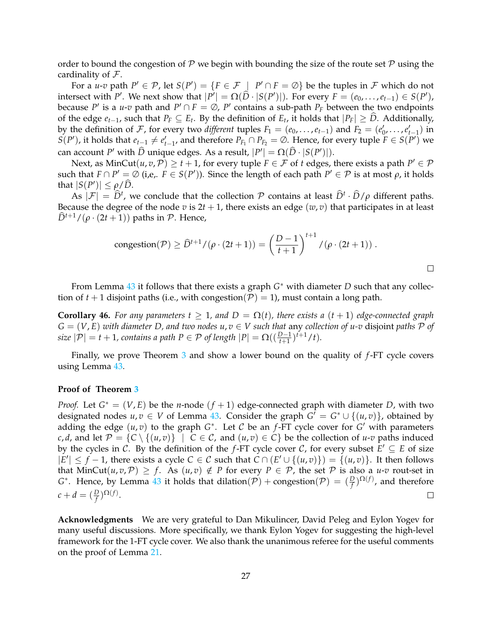order to bound the congestion of P we begin with bounding the size of the route set P using the cardinality of  $\mathcal{F}$ .

For a *u*-*v* path  $P' \in \mathcal{P}$ , let  $S(P') = \{F \in \mathcal{F} \mid P' \cap F = \emptyset\}$  be the tuples in  $\mathcal F$  which do not intersect with *P'*. We next show that  $|P'| = \Omega(\widehat{D} \cdot |S(P')|)$ . For every  $F = (e_0, \ldots, e_{t-1}) \in S(P')$ , because *P'* is a *u-v* path and  $P' \cap F = \emptyset$ , *P'* contains a sub-path  $P_F$  between the two endpoints of the edge  $e_{t-1}$ , such that  $P_F ⊆ E_t$ . By the definition of  $E_t$ , it holds that  $|P_F| ≥ D$ . Additionally, by the definition of F, for every two *different* tuples  $F_1 = (e_0, \ldots, e_{t-1})$  and  $F_2 = (e'_0, \ldots, e'_{t-1})$  in *S*(*P*<sup> $\prime$ </sup>), it holds that *e*<sub>*t*−1</sub>  $\neq e'_{t-1}$ , and therefore *P<sub>F<sub>1</sub>*</sub> ∩ *P<sub>F<sub>2</sub>*</sub> = ∅. Hence, for every tuple *F* ∈ *S*(*P*<sup> $\prime$ </sup>) we can account *P'* with  $\widehat{D}$  unique edges. As a result,  $|P'| = \Omega(\widehat{D} \cdot |S(P')|)$ .

Next, as  $MinCut(u, v, \mathcal{P}) \ge t + 1$ , for every tuple  $F \in \mathcal{F}$  of  $t$  edges, there exists a path  $P' \in \mathcal{P}$ such that  $F \cap P' = \emptyset$  (i,e,.  $F \in S(P')$ ). Since the length of each path  $P' \in \mathcal{P}$  is at most  $\rho$ , it holds that  $|S(P')| \leq \rho/\widehat{D}$ .

As  $|\mathcal{F}| = \hat{D}^t$ , we conclude that the collection  $\mathcal{P}$  contains at least  $\hat{D}^t \cdot \hat{D}/\rho$  different paths. Because the degree of the node *v* is  $2t + 1$ , there exists an edge  $(w, v)$  that participates in at least  $\hat{D}^{t+1}/(\rho \cdot (2t+1))$  paths in P. Hence,

congestion
$$
(\mathcal{P}) \ge \widehat{D}^{t+1}/(\rho \cdot (2t+1)) = \left(\frac{D-1}{t+1}\right)^{t+1} / (\rho \cdot (2t+1)).
$$

From Lemma [43](#page-24-1) it follows that there exists a graph  $G^*$  with diameter *D* such that any collection of  $t + 1$  disjoint paths (i.e., with congestion( $P$ ) = 1), must contain a long path.

**Corollary 46.** For any parameters  $t \geq 1$ , and  $D = \Omega(t)$ , there exists a  $(t + 1)$  edge-connected graph  $G = (V, E)$  *with diameter D, and two nodes u, v*  $\in$  *V such that any collection of u-v disjoint paths*  $\mathcal P$  *of size*  $|\mathcal{P}| = t + 1$ *, contains a path*  $P \in \mathcal{P}$  *of length*  $|P| = \Omega\left(\left(\frac{D-1}{t+1}\right)^{t+1}/t\right)$ *.* 

Finally, we prove Theorem [3](#page-5-0) and show a lower bound on the quality of *f*-FT cycle covers using Lemma [43.](#page-24-1)

#### **Proof of Theorem [3](#page-5-0)**

*Proof.* Let  $G^* = (V, E)$  be the *n*-node  $(f + 1)$  edge-connected graph with diameter *D*, with two designated nodes  $u, v \in V$  of Lemma [43.](#page-24-1) Consider the graph  $G^{\dagger} = G^* \cup \{(u, v)\}\)$ , obtained by adding the edge  $(u, v)$  to the graph  $G^*$ . Let  $C$  be an  $f$ -FT cycle cover for  $G'$  with parameters *c*, *d*, and let  $\mathcal{P} = \{C \setminus \{(u,v)\} \mid C \in \mathcal{C}$ , and  $(u,v) \in C\}$  be the collection of *u-v* paths induced by the cycles in C. By the definition of the *f*-FT cycle cover C, for every subset  $E' \subseteq E$  of size  $|E'|$  ≤ *f* − 1, there exists a cycle *C* ∈ *C* such that  $C \cap (E' \cup \{(u, v)\}) = \{(u, v)\}.$  It then follows that MinCut $(u, v, \mathcal{P}) \geq f$ . As  $(u, v) \notin P$  for every  $P \in \mathcal{P}$ , the set  $\mathcal P$  is also a *u-v* rout-set in *G*<sup>\*</sup>. Hence, by Lemma [43](#page-24-1) it holds that dilation( $\overline{P}$ ) + congestion( $\overline{P}$ ) =  $(\frac{D}{f})^{\Omega(f)}$ , and therefore  $c + d = (\frac{D}{f})^{\Omega(f)}.$  $\Box$ 

**Acknowledgments** We are very grateful to Dan Mikulincer, David Peleg and Eylon Yogev for many useful discussions. More specifically, we thank Eylon Yogev for suggesting the high-level framework for the 1-FT cycle cover. We also thank the unanimous referee for the useful comments on the proof of Lemma [21.](#page-10-1)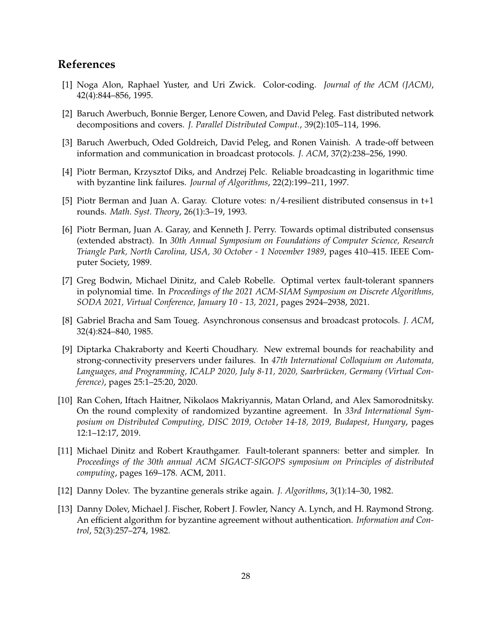# **References**

- <span id="page-27-12"></span>[1] Noga Alon, Raphael Yuster, and Uri Zwick. Color-coding. *Journal of the ACM (JACM)*, 42(4):844–856, 1995.
- <span id="page-27-11"></span>[2] Baruch Awerbuch, Bonnie Berger, Lenore Cowen, and David Peleg. Fast distributed network decompositions and covers. *J. Parallel Distributed Comput.*, 39(2):105–114, 1996.
- <span id="page-27-7"></span>[3] Baruch Awerbuch, Oded Goldreich, David Peleg, and Ronen Vainish. A trade-off between information and communication in broadcast protocols. *J. ACM*, 37(2):238–256, 1990.
- <span id="page-27-6"></span>[4] Piotr Berman, Krzysztof Diks, and Andrzej Pelc. Reliable broadcasting in logarithmic time with byzantine link failures. *Journal of Algorithms*, 22(2):199–211, 1997.
- <span id="page-27-4"></span>[5] Piotr Berman and Juan A. Garay. Cloture votes: n/4-resilient distributed consensus in t+1 rounds. *Math. Syst. Theory*, 26(1):3–19, 1993.
- <span id="page-27-3"></span>[6] Piotr Berman, Juan A. Garay, and Kenneth J. Perry. Towards optimal distributed consensus (extended abstract). In *30th Annual Symposium on Foundations of Computer Science, Research Triangle Park, North Carolina, USA, 30 October - 1 November 1989*, pages 410–415. IEEE Computer Society, 1989.
- <span id="page-27-10"></span>[7] Greg Bodwin, Michael Dinitz, and Caleb Robelle. Optimal vertex fault-tolerant spanners in polynomial time. In *Proceedings of the 2021 ACM-SIAM Symposium on Discrete Algorithms, SODA 2021, Virtual Conference, January 10 - 13, 2021*, pages 2924–2938, 2021.
- <span id="page-27-2"></span>[8] Gabriel Bracha and Sam Toueg. Asynchronous consensus and broadcast protocols. *J. ACM*, 32(4):824–840, 1985.
- <span id="page-27-9"></span>[9] Diptarka Chakraborty and Keerti Choudhary. New extremal bounds for reachability and strong-connectivity preservers under failures. In *47th International Colloquium on Automata,* Languages, and Programming, ICALP 2020, July 8-11, 2020, Saarbrücken, Germany (Virtual Con*ference)*, pages 25:1–25:20, 2020.
- <span id="page-27-5"></span>[10] Ran Cohen, Iftach Haitner, Nikolaos Makriyannis, Matan Orland, and Alex Samorodnitsky. On the round complexity of randomized byzantine agreement. In *33rd International Symposium on Distributed Computing, DISC 2019, October 14-18, 2019, Budapest, Hungary*, pages 12:1–12:17, 2019.
- <span id="page-27-8"></span>[11] Michael Dinitz and Robert Krauthgamer. Fault-tolerant spanners: better and simpler. In *Proceedings of the 30th annual ACM SIGACT-SIGOPS symposium on Principles of distributed computing*, pages 169–178. ACM, 2011.
- <span id="page-27-0"></span>[12] Danny Dolev. The byzantine generals strike again. *J. Algorithms*, 3(1):14–30, 1982.
- <span id="page-27-1"></span>[13] Danny Dolev, Michael J. Fischer, Robert J. Fowler, Nancy A. Lynch, and H. Raymond Strong. An efficient algorithm for byzantine agreement without authentication. *Information and Control*, 52(3):257–274, 1982.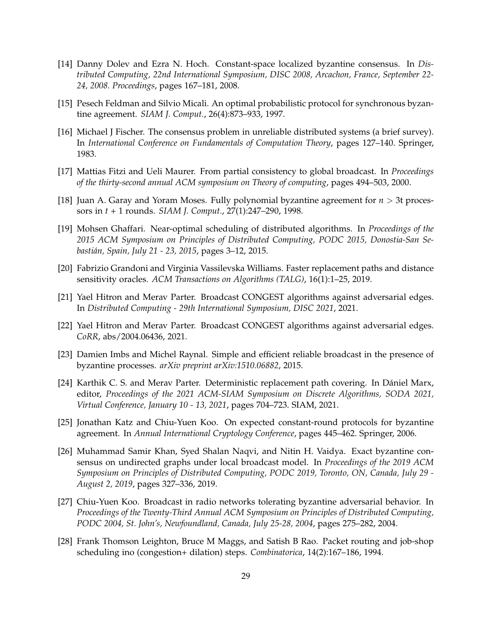- <span id="page-28-6"></span>[14] Danny Dolev and Ezra N. Hoch. Constant-space localized byzantine consensus. In *Distributed Computing, 22nd International Symposium, DISC 2008, Arcachon, France, September 22- 24, 2008. Proceedings*, pages 167–181, 2008.
- <span id="page-28-1"></span>[15] Pesech Feldman and Silvio Micali. An optimal probabilistic protocol for synchronous byzantine agreement. *SIAM J. Comput.*, 26(4):873–933, 1997.
- <span id="page-28-0"></span>[16] Michael J Fischer. The consensus problem in unreliable distributed systems (a brief survey). In *International Conference on Fundamentals of Computation Theory*, pages 127–140. Springer, 1983.
- <span id="page-28-3"></span>[17] Mattias Fitzi and Ueli Maurer. From partial consistency to global broadcast. In *Proceedings of the thirty-second annual ACM symposium on Theory of computing*, pages 494–503, 2000.
- <span id="page-28-2"></span>[18] Juan A. Garay and Yoram Moses. Fully polynomial byzantine agreement for *n* > 3t processors in *t* + 1 rounds. *SIAM J. Comput.*, 27(1):247–290, 1998.
- <span id="page-28-11"></span>[19] Mohsen Ghaffari. Near-optimal scheduling of distributed algorithms. In *Proceedings of the 2015 ACM Symposium on Principles of Distributed Computing, PODC 2015, Donostia-San Sebasti´an, Spain, July 21 - 23, 2015*, pages 3–12, 2015.
- <span id="page-28-14"></span>[20] Fabrizio Grandoni and Virginia Vassilevska Williams. Faster replacement paths and distance sensitivity oracles. *ACM Transactions on Algorithms (TALG)*, 16(1):1–25, 2019.
- <span id="page-28-9"></span>[21] Yael Hitron and Merav Parter. Broadcast CONGEST algorithms against adversarial edges. In *Distributed Computing - 29th International Symposium, DISC 2021*, 2021.
- <span id="page-28-12"></span>[22] Yael Hitron and Merav Parter. Broadcast CONGEST algorithms against adversarial edges. *CoRR*, abs/2004.06436, 2021.
- <span id="page-28-7"></span>[23] Damien Imbs and Michel Raynal. Simple and efficient reliable broadcast in the presence of byzantine processes. *arXiv preprint arXiv:1510.06882*, 2015.
- <span id="page-28-13"></span>[24] Karthik C. S. and Merav Parter. Deterministic replacement path covering. In Dániel Marx, editor, *Proceedings of the 2021 ACM-SIAM Symposium on Discrete Algorithms, SODA 2021, Virtual Conference, January 10 - 13, 2021*, pages 704–723. SIAM, 2021.
- <span id="page-28-5"></span>[25] Jonathan Katz and Chiu-Yuen Koo. On expected constant-round protocols for byzantine agreement. In *Annual International Cryptology Conference*, pages 445–462. Springer, 2006.
- <span id="page-28-8"></span>[26] Muhammad Samir Khan, Syed Shalan Naqvi, and Nitin H. Vaidya. Exact byzantine consensus on undirected graphs under local broadcast model. In *Proceedings of the 2019 ACM Symposium on Principles of Distributed Computing, PODC 2019, Toronto, ON, Canada, July 29 - August 2, 2019*, pages 327–336, 2019.
- <span id="page-28-4"></span>[27] Chiu-Yuen Koo. Broadcast in radio networks tolerating byzantine adversarial behavior. In *Proceedings of the Twenty-Third Annual ACM Symposium on Principles of Distributed Computing, PODC 2004, St. John's, Newfoundland, Canada, July 25-28, 2004*, pages 275–282, 2004.
- <span id="page-28-10"></span>[28] Frank Thomson Leighton, Bruce M Maggs, and Satish B Rao. Packet routing and job-shop scheduling ino (congestion+ dilation) steps. *Combinatorica*, 14(2):167–186, 1994.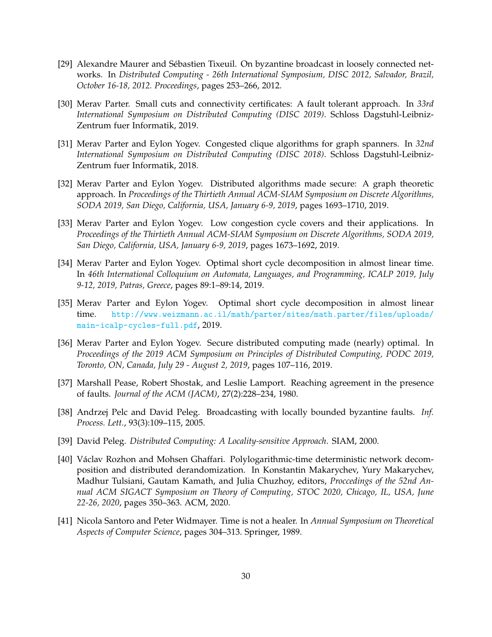- <span id="page-29-5"></span>[29] Alexandre Maurer and Sebastien Tixeuil. On byzantine broadcast in loosely connected net- ´ works. In *Distributed Computing - 26th International Symposium, DISC 2012, Salvador, Brazil, October 16-18, 2012. Proceedings*, pages 253–266, 2012.
- <span id="page-29-9"></span>[30] Merav Parter. Small cuts and connectivity certificates: A fault tolerant approach. In *33rd International Symposium on Distributed Computing (DISC 2019)*. Schloss Dagstuhl-Leibniz-Zentrum fuer Informatik, 2019.
- <span id="page-29-8"></span>[31] Merav Parter and Eylon Yogev. Congested clique algorithms for graph spanners. In *32nd International Symposium on Distributed Computing (DISC 2018)*. Schloss Dagstuhl-Leibniz-Zentrum fuer Informatik, 2018.
- <span id="page-29-10"></span>[32] Merav Parter and Eylon Yogev. Distributed algorithms made secure: A graph theoretic approach. In *Proceedings of the Thirtieth Annual ACM-SIAM Symposium on Discrete Algorithms, SODA 2019, San Diego, California, USA, January 6-9, 2019*, pages 1693–1710, 2019.
- <span id="page-29-7"></span>[33] Merav Parter and Eylon Yogev. Low congestion cycle covers and their applications. In *Proceedings of the Thirtieth Annual ACM-SIAM Symposium on Discrete Algorithms, SODA 2019, San Diego, California, USA, January 6-9, 2019*, pages 1673–1692, 2019.
- <span id="page-29-0"></span>[34] Merav Parter and Eylon Yogev. Optimal short cycle decomposition in almost linear time. In *46th International Colloquium on Automata, Languages, and Programming, ICALP 2019, July 9-12, 2019, Patras, Greece*, pages 89:1–89:14, 2019.
- <span id="page-29-1"></span>[35] Merav Parter and Eylon Yogev. Optimal short cycle decomposition in almost linear time. [http://www.weizmann.ac.il/math/parter/sites/math.parter/files/uploads/](http://www.weizmann.ac.il/math/parter/sites/math.parter/files/uploads/main-icalp-cycles-full.pdf) [main-icalp-cycles-full.pdf](http://www.weizmann.ac.il/math/parter/sites/math.parter/files/uploads/main-icalp-cycles-full.pdf), 2019.
- <span id="page-29-12"></span>[36] Merav Parter and Eylon Yogev. Secure distributed computing made (nearly) optimal. In *Proceedings of the 2019 ACM Symposium on Principles of Distributed Computing, PODC 2019, Toronto, ON, Canada, July 29 - August 2, 2019*, pages 107–116, 2019.
- <span id="page-29-2"></span>[37] Marshall Pease, Robert Shostak, and Leslie Lamport. Reaching agreement in the presence of faults. *Journal of the ACM (JACM)*, 27(2):228–234, 1980.
- <span id="page-29-4"></span>[38] Andrzej Pelc and David Peleg. Broadcasting with locally bounded byzantine faults. *Inf. Process. Lett.*, 93(3):109–115, 2005.
- <span id="page-29-6"></span>[39] David Peleg. *Distributed Computing: A Locality-sensitive Approach*. SIAM, 2000.
- <span id="page-29-11"></span>[40] Václav Rozhon and Mohsen Ghaffari. Polylogarithmic-time deterministic network decomposition and distributed derandomization. In Konstantin Makarychev, Yury Makarychev, Madhur Tulsiani, Gautam Kamath, and Julia Chuzhoy, editors, *Proccedings of the 52nd Annual ACM SIGACT Symposium on Theory of Computing, STOC 2020, Chicago, IL, USA, June 22-26, 2020*, pages 350–363. ACM, 2020.
- <span id="page-29-3"></span>[41] Nicola Santoro and Peter Widmayer. Time is not a healer. In *Annual Symposium on Theoretical Aspects of Computer Science*, pages 304–313. Springer, 1989.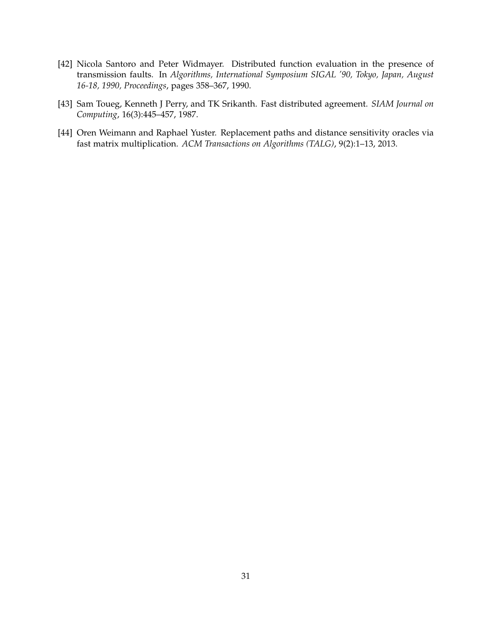- <span id="page-30-1"></span>[42] Nicola Santoro and Peter Widmayer. Distributed function evaluation in the presence of transmission faults. In *Algorithms, International Symposium SIGAL '90, Tokyo, Japan, August 16-18, 1990, Proceedings*, pages 358–367, 1990.
- <span id="page-30-0"></span>[43] Sam Toueg, Kenneth J Perry, and TK Srikanth. Fast distributed agreement. *SIAM Journal on Computing*, 16(3):445–457, 1987.
- <span id="page-30-2"></span>[44] Oren Weimann and Raphael Yuster. Replacement paths and distance sensitivity oracles via fast matrix multiplication. *ACM Transactions on Algorithms (TALG)*, 9(2):1–13, 2013.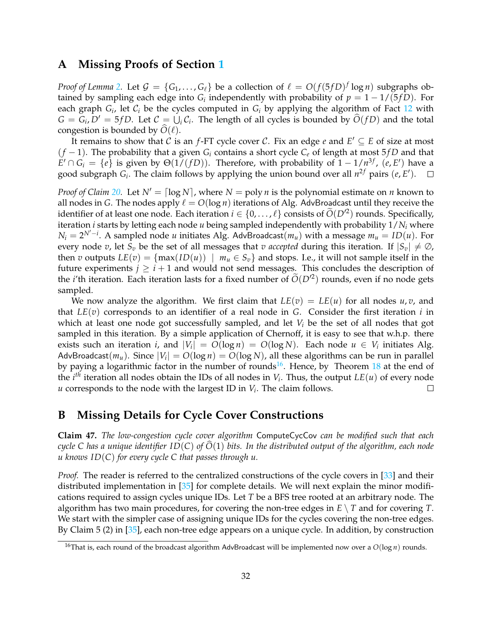### <span id="page-31-0"></span>**A Missing Proofs of Section [1](#page-2-0)**

*Proof of Lemma [2.](#page-4-3)* Let  $\mathcal{G} = \{G_1, \ldots, G_\ell\}$  be a collection of  $\ell = O(f(5fD)^f \log n)$  subgraphs obtained by sampling each edge into  $G_i$  independently with probability of  $p = 1 - 1/(5fD)$ . For each graph  $G_i$ , let  $C_i$  be the cycles computed in  $G_i$  by applying the algorithm of Fact [12](#page-8-2) with  $G = G_i, D' = 5fD$ . Let  $C = \bigcup_i C_i$ . The length of all cycles is bounded by  $\widehat{O}(fD)$  and the total congestion is bounded by  $O(\ell)$ .

It remains to show that  $\mathcal C$  is an *f*-FT cycle cover  $\mathcal C$ . Fix an edge  $e$  and  $E' \subseteq E$  of size at most (*f* − 1). The probability that a given *G<sup>i</sup>* contains a short cycle *C<sup>e</sup>* of length at most 5 *f D* and that  $E' \cap G_i = \{e\}$  is given by  $\Theta(1/(fD))$ . Therefore, with probability of  $1 - 1/n^{3f}$ ,  $(e, E')$  have a good subgraph  $G_i$ . The claim follows by applying the union bound over all  $n^{2f}$  pairs  $(e, E')$ .  $\Box$ 

*Proof of Claim* [20.](#page-9-4) Let  $N' = \lceil \log N \rceil$ , where  $N = \text{poly } n$  is the polynomial estimate on *n* known to all nodes in *G*. The nodes apply  $\ell = O(\log n)$  iterations of Alg. AdvBroadcast until they receive the identifier of at least one node. Each iteration  $i \in \{0, \ldots, \ell\}$  consists of  $\widetilde{O}(D^2)$  rounds. Specifically, iteration *i* starts by letting each node *u* being sampled independently with probability 1/*N<sup>i</sup>* where  $N_i = 2^{N'-i}$ . A sampled node *u* initiates Alg. AdvBroadcast( $m_u$ ) with a message  $m_u = ID(u)$ . For every node *v*, let  $S_v$  be the set of all messages that *v* accepted during this iteration. If  $|S_v| \neq \emptyset$ , then *v* outputs  $LE(v) = \{max(ID(u)) | m_u \in S_v\}$  and stops. I.e., it will not sample itself in the future experiments  $j \geq i + 1$  and would not send messages. This concludes the description of the *i*'th iteration. Each iteration lasts for a fixed number of  $\tilde{O}(D^2)$  rounds, even if no node gets sampled.

We now analyze the algorithm. We first claim that  $LE(v) = LE(u)$  for all nodes  $u, v$ , and that  $LE(v)$  corresponds to an identifier of a real node in G. Consider the first iteration  $i$  in which at least one node got successfully sampled, and let *V<sup>i</sup>* be the set of all nodes that got sampled in this iteration. By a simple application of Chernoff, it is easy to see that w.h.p. there exists such an iteration *i*, and  $|V_i| = O(\log n) = O(\log N)$ . Each node  $u \in V_i$  initiates Alg. AdvBroadcast $(m_u)$ . Since  $|V_i| = O(\log n) = O(\log N)$ , all these algorithms can be run in parallel by paying a logarithmic factor in the number of rounds<sup>[16](#page-31-2)</sup>. Hence, by Theorem [18](#page-9-2) at the end of the *i*<sup>th</sup> iteration all nodes obtain the IDs of all nodes in  $V_i$ . Thus, the output  $LE(u)$  of every node  $\Box$ *u* corresponds to the node with the largest ID in *V<sup>i</sup>* . The claim follows.

# <span id="page-31-1"></span>**B Missing Details for Cycle Cover Constructions**

**Claim 47.** *The low-congestion cycle cover algorithm* ComputeCycCov *can be modified such that each cycle C has a unique identifier ID(C) of*  $O(1)$  *bits. In the distributed output of the algorithm, each node u knows ID*(*C*) *for every cycle C that passes through u.*

*Proof.* The reader is referred to the centralized constructions of the cycle covers in [\[33\]](#page-29-7) and their distributed implementation in [\[35\]](#page-29-1) for complete details. We will next explain the minor modifications required to assign cycles unique IDs. Let *T* be a BFS tree rooted at an arbitrary node. The algorithm has two main procedures, for covering the non-tree edges in  $E \setminus T$  and for covering *T*. We start with the simpler case of assigning unique IDs for the cycles covering the non-tree edges. By Claim 5 (2) in [\[35\]](#page-29-1), each non-tree edge appears on a unique cycle. In addition, by construction

<span id="page-31-2"></span><sup>&</sup>lt;sup>16</sup>That is, each round of the broadcast algorithm AdvBroadcast will be implemented now over a  $O(\log n)$  rounds.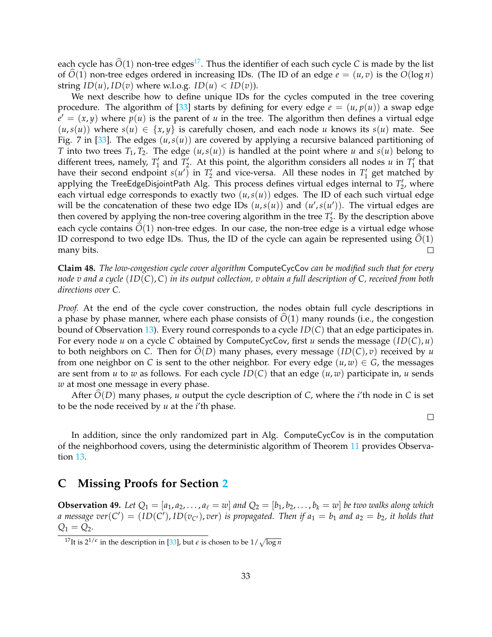each cycle has  $\hat{O}(1)$  non-tree edges<sup>[17](#page-32-1)</sup>. Thus the identifier of each such cycle *C* is made by the list of  $\hat{O}(1)$  non-tree edges ordered in increasing IDs. (The ID of an edge  $e = (u, v)$  is the  $O(\log n)$ string  $ID(u)$ ,  $ID(v)$  where w.l.o.g.  $ID(u) < ID(v)$ ).

We next describe how to define unique IDs for the cycles computed in the tree covering procedure. The algorithm of [\[33\]](#page-29-7) starts by defining for every edge  $e = (u, p(u))$  a swap edge  $\overline{e'} = (x, y)$  where  $\overline{p}(u)$  is the parent of *u* in the tree. The algorithm then defines a virtual edge  $(u, s(u))$  where  $s(u) \in \{x, y\}$  is carefully chosen, and each node *u* knows its  $s(u)$  mate. See Fig. 7 in [\[33\]](#page-29-7). The edges  $(u, s(u))$  are covered by applying a recursive balanced partitioning of *T* into two trees  $T_1, T_2$ . The edge  $(u, s(u))$  is handled at the point where *u* and  $s(u)$  belong to different trees, namely,  $T'_1$  and  $T'_2$ . At this point, the algorithm considers all nodes *u* in  $T'_1$  that have their second endpoint  $s(u')$  in  $T'_2$  and vice-versa. All these nodes in  $T'_1$  get matched by applying the TreeEdgeDisjointPath Alg. This process defines virtual edges internal to  $T_2'$ , where each virtual edge corresponds to exactly two  $(u, s(u))$  edges. The ID of each such virtual edge will be the concatenation of these two edge IDs  $(u, s(u))$  and  $(u', s(u'))$ . The virtual edges are then covered by applying the non-tree covering algorithm in the tree  $T_2'$ . By the description above each cycle contains  $\hat{O}(1)$  non-tree edges. In our case, the non-tree edge is a virtual edge whose ID correspond to two edge IDs. Thus, the ID of the cycle can again be represented using  $\hat{O}(1)$  many bits. many bits.

**Claim 48.** *The low-congestion cycle cover algorithm* ComputeCycCov *can be modified such that for every node v and a cycle* (*ID*(*C*), *C*) *in its output collection, v obtain a full description of C, received from both directions over C.*

*Proof.* At the end of the cycle cover construction, the nodes obtain full cycle descriptions in a phase by phase manner, where each phase consists of  $\tilde{O}(1)$  many rounds (i.e., the congestion bound of Observation [13\)](#page-8-4). Every round corresponds to a cycle *ID*(*C*) that an edge participates in. For every node *u* on a cycle *C* obtained by ComputeCycCov, first *u* sends the message (*ID*(*C*), *u*) to both neighbors on *C*. Then for  $O(D)$  many phases, every message  $(ID(C), v)$  received by *u* from one neighbor on *C* is sent to the other neighbor. For every edge  $(u, w) \in G$ , the messages are sent from *u* to *w* as follows. For each cycle *ID*(*C*) that an edge (*u*, *w*) participate in, *u* sends *w* at most one message in every phase.

After  $\widehat{O}(D)$  many phases, *u* output the cycle description of *C*, where the *i*'th node in *C* is set to be the node received by *u* at the *i*'th phase.

 $\Box$ 

In addition, since the only randomized part in Alg. ComputeCycCov is in the computation of the neighborhood covers, using the deterministic algorithm of Theorem [11](#page-8-1) provides Observation [13.](#page-8-4)

### <span id="page-32-0"></span>**C Missing Proofs for Section [2](#page-9-0)**

<span id="page-32-2"></span>**Observation 49.** Let  $Q_1 = [a_1, a_2, \ldots, a_\ell = w]$  and  $Q_2 = [b_1, b_2, \ldots, b_k = w]$  be two walks along which *a message*  $ver(C') = (ID(C'), ID(v_{C'}), ver)$  *is propagated. Then if*  $a_1 = b_1$  *and*  $a_2 = b_2$ *, it holds that*  $Q_1 = Q_2$ .

<span id="page-32-1"></span> $^{17}{\rm It}$  is  $2^{1/\epsilon}$  in the description in [\[33\]](#page-29-7), but  $\epsilon$  is chosen to be  $1/\sqrt{\log n}$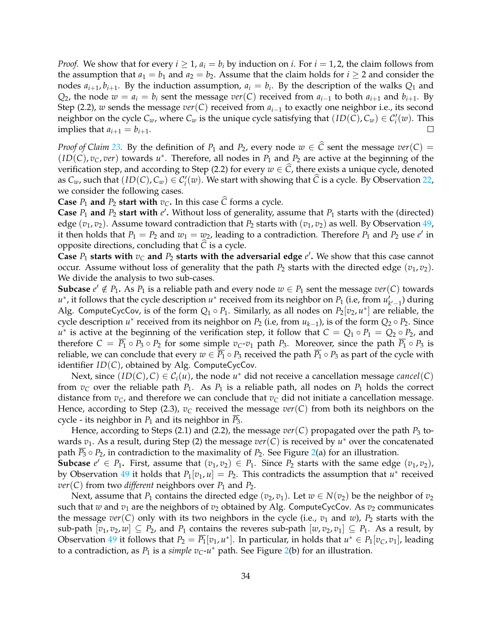*Proof.* We show that for every  $i \geq 1$ ,  $a_i = b_i$  by induction on  $i$ . For  $i = 1, 2$ , the claim follows from the assumption that  $a_1 = b_1$  and  $a_2 = b_2$ . Assume that the claim holds for  $i \ge 2$  and consider the nodes  $a_{i+1}, b_{i+1}$ . By the induction assumption,  $a_i = b_i$ . By the description of the walks  $Q_1$  and *Q*<sub>2</sub>, the node  $w = a_i = b_i$  sent the message  $ver(C)$  received from  $a_{i-1}$  to both  $a_{i+1}$  and  $b_{i+1}$ . By Step (2.2), *w* sends the message *ver*(*C*) received from *ai*−<sup>1</sup> to exactly one neighbor i.e., its second neighbor on the cycle  $C_w$ , where  $C_w$  is the unique cycle satisfying that  $(ID(C), C_w) \in C'_i(w)$ . This implies that  $a_{i+1} = b_{i+1}$ .

*Proof of Claim* [23.](#page-13-2) By the definition of  $P_1$  and  $P_2$ , every node  $w \in \hat{C}$  sent the message  $ver(C)$  =  $(ID(C), v_C, ver)$  towards  $u^*$ . Therefore, all nodes in  $P_1$  and  $P_2$  are active at the beginning of the verification step, and according to Step (2.2) for every  $w \in \widehat{C}$ , there exists a unique cycle, denoted as  $C_w$ , such that  $(ID(C), C_w) \in C'_i(w)$ . We start with showing that  $\widehat{C}$  is a cycle. By Observation [22,](#page-13-1) we consider the following cases.

**Case**  $P_1$  **and**  $P_2$  **start with**  $v_C$ . In this case  $\hat{C}$  forms a cycle.

**Case**  $P_1$  and  $P_2$  start with  $e'$ . Without loss of generality, assume that  $P_1$  starts with the (directed) edge  $(v_1, v_2)$ . Assume toward contradiction that  $P_2$  starts with  $(v_1, v_2)$  as well. By Observation [49,](#page-32-2) it then holds that  $P_1 = P_2$  and  $w_1 = w_2$ , leading to a contradiction. Therefore  $P_1$  and  $P_2$  use  $e'$  in opposite directions, concluding that *<sup>C</sup>*<sup>b</sup> is a cycle.

**Case**  $P_1$  **starts with**  $v_C$  and  $P_2$  **starts with the adversarial edge**  $e'$ . We show that this case cannot occur. Assume without loss of generality that the path  $P_2$  starts with the directed edge  $(v_1, v_2)$ . We divide the analysis to two sub-cases.

**Subcase**  $e' \notin P_1$ . As  $P_1$  is a reliable path and every node  $w \in P_1$  sent the message  $ver(C)$  towards *u*<sup>\*</sup>, it follows that the cycle description *u*<sup>\*</sup> received from its neighbor on *P*<sub>1</sub> (i.e, from *u*<sup>*l*</sup><sub>*k*'−1</sub>) during Alg. ComputeCycCov, is of the form  $Q_1 \circ P_1$ . Similarly, as all nodes on  $P_2[v_2, u^*]$  are reliable, the cycle description  $u^*$  received from its neighbor on  $P_2$  (i.e, from  $u_{k-1}$ ), is of the form  $Q_2 \circ P_2$ . Since  $u^*$  is active at the beginning of the verification step, it follow that  $C = Q_1 \circ P_1 = Q_2 \circ P_2$ , and therefore  $C = \overline{P_1} \circ P_3 \circ P_2$  for some simple  $v_C$ - $v_1$  path  $P_3$ . Moreover, since the path  $\overline{P_1} \circ P_3$  is reliable, we can conclude that every  $w \in \overline{P_1} \circ P_3$  received the path  $\overline{P_1} \circ P_3$  as part of the cycle with identifier *ID*(*C*), obtained by Alg. ComputeCycCov.

Next, since  $(ID(C), C) \in C_i(u)$ , the node  $u^*$  did not receive a cancellation message *cancel*(*C*) from  $v_c$  over the reliable path  $P_1$ . As  $P_1$  is a reliable path, all nodes on  $P_1$  holds the correct distance from  $v_c$ , and therefore we can conclude that  $v_c$  did not initiate a cancellation message. Hence, according to Step (2.3),  $v_C$  received the message  $ver(C)$  from both its neighbors on the cycle - its neighbor in *P*<sup>1</sup> and its neighbor in *P*3.

Hence, according to Steps (2.1) and (2.2), the message  $ver(C)$  propagated over the path  $P_3$  towards *v*1. As a result, during Step (2) the message *ver*(*C*) is received by *u* <sup>∗</sup> over the concatenated path  $\overline{P_3} \circ P_2$ , in contradiction to the maximality of  $P_2$ . See Figure [2\(](#page-34-0)a) for an illustration.

**Subcase**  $e' \in P_1$ . First, assume that  $(v_1, v_2) \in P_1$ . Since  $P_2$  starts with the same edge  $(v_1, v_2)$ , by Observation [49](#page-32-2) it holds that  $P_1[v_1, u] = P_2$ . This contradicts the assumption that  $u^*$  received *ver*(*C*) from two *different* neighbors over  $P_1$  and  $P_2$ .

Next, assume that  $P_1$  contains the directed edge  $(v_2, v_1)$ . Let  $w \in N(v_2)$  be the neighbor of  $v_2$ such that *w* and  $v_1$  are the neighbors of  $v_2$  obtained by Alg. ComputeCycCov. As  $v_2$  communicates the message  $ver(C)$  only with its two neighbors in the cycle (i.e.,  $v_1$  and  $w$ ),  $P_2$  starts with the sub-path  $[v_1, v_2, w] \subseteq P_2$ , and  $P_1$  contains the reveres sub-path  $[w, v_2, v_1] \subseteq P_1$ . As a result, by Observation [49](#page-32-2) it follows that  $P_2 = \overline{P_1}[v_1, u^*]$ . In particular, in holds that  $u^* \in P_1[v_C, v_1]$ , leading to a contradiction, as  $P_1$  is a *simple*  $v_C$ - $u^*$  path. See Figure [2\(](#page-34-0)b) for an illustration.